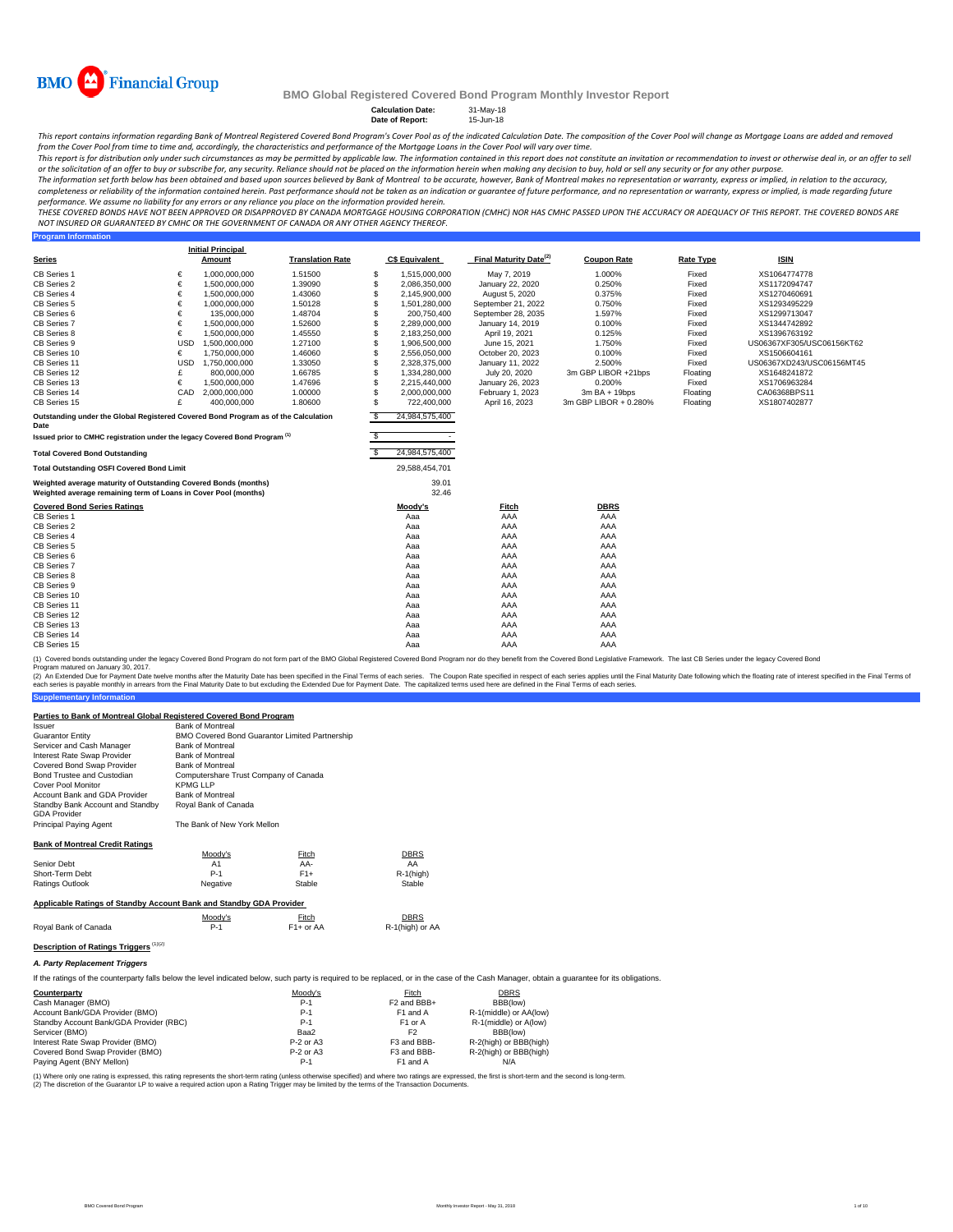

**Program Information**

#### **BMO Global Registered Covered Bond Program Monthly Investor Report**

**Calculation Date:** 31-May-18 **Date of Report:** 15-Jun-18

This report contains information regarding Bank of Montreal Registered Covered Bond Program's Cover Pool as of the indicated Calculation Date. The composition of the Cover Pool will change as Mortgage Loans are added and r from the Cover Pool from time to time and, accordingly, the characteristics and performance of the Mortgage Loans in the Cover Pool will vary over time.

This report is for distribution only under such circumstances as may be permitted by applicable law. The information contained in this report does not constitute an invitation or recommendation to invest or otherwise deal

The information set forth below has been obtained and based upon sources believed by Bank of Montreal to be accurate, however, Bank of Montreal makes no representation or warranty, express or implied, in relation to the ac completeness or reliability of the information contained herein. Past performance should not be taken as an indication or guarantee of future performance, and no representation or warranty, express or implied, is made rega performance. We assume no liability for any errors or any reliance you place on the information provided herein.

THESE COVERED BONDS HAVE NOT BEEN APPROVED OR DISAPPROVED BY CANADA MORTGAGE HOUSING CORPORATION (CMHC) NOR HAS CMHC PASSED UPON THE ACCURACY OR ADEQUACY OF THIS REPORT. THE COVERED BONDS ARE<br>NOT INSURED OR GUARANTEED BY C

|                                                                                                                                    |            | <b>Initial Principal</b> |                         |    |                       |                                    |                       |                  |                           |
|------------------------------------------------------------------------------------------------------------------------------------|------------|--------------------------|-------------------------|----|-----------------------|------------------------------------|-----------------------|------------------|---------------------------|
| <b>Series</b>                                                                                                                      |            | Amount                   | <b>Translation Rate</b> |    | <b>C\$ Equivalent</b> | Final Maturity Date <sup>(2)</sup> | <b>Coupon Rate</b>    | <b>Rate Type</b> | <b>ISIN</b>               |
| CB Series 1                                                                                                                        | €          | 1,000,000,000            | 1.51500                 | \$ | 1.515.000.000         | May 7, 2019                        | 1.000%                | Fixed            | XS1064774778              |
| CB Series 2                                                                                                                        | €          | 1,500,000,000            | 1.39090                 | S  | 2,086,350,000         | January 22, 2020                   | 0.250%                | Fixed            | XS1172094747              |
| CB Series 4                                                                                                                        | €          | 1,500,000,000            | 1.43060                 | S  | 2,145,900,000         | August 5, 2020                     | 0.375%                | Fixed            | XS1270460691              |
| CB Series 5                                                                                                                        | €          | 1,000,000,000            | 1.50128                 | S  | 1,501,280,000         | September 21, 2022                 | 0.750%                | Fixed            | XS1293495229              |
| CB Series 6                                                                                                                        | €          | 135,000,000              | 1.48704                 | S  | 200,750,400           | September 28, 2035                 | 1.597%                | Fixed            | XS1299713047              |
| CB Series 7                                                                                                                        | €          | 1,500,000,000            | 1.52600                 | S  | 2,289,000,000         | January 14, 2019                   | 0.100%                | Fixed            | XS1344742892              |
| CB Series 8                                                                                                                        | €          | 1,500,000,000            | 1.45550                 | S  | 2,183,250,000         | April 19, 2021                     | 0.125%                | Fixed            | XS1396763192              |
| CB Series 9                                                                                                                        | <b>USD</b> | 1,500,000,000            | 1.27100                 | \$ | 1,906,500,000         | June 15, 2021                      | 1.750%                | Fixed            | US06367XF305/USC06156KT62 |
| CB Series 10                                                                                                                       | €          | 1,750,000,000            | 1.46060                 | S  | 2,556,050,000         | October 20, 2023                   | 0.100%                | Fixed            | XS1506604161              |
| CB Series 11                                                                                                                       | <b>USD</b> | 1,750,000,000            | 1.33050                 | S  | 2,328,375,000         | January 11, 2022                   | 2.500%                | Fixed            | US06367XD243/USC06156MT45 |
| CB Series 12                                                                                                                       | £          | 800,000,000              | 1.66785                 | S  | 1,334,280,000         | July 20, 2020                      | 3m GBP LIBOR +21bps   | Floating         | XS1648241872              |
| CB Series 13                                                                                                                       | €          | 1.500.000.000            | 1.47696                 | S  | 2,215,440,000         | January 26, 2023                   | 0.200%                | Fixed            | XS1706963284              |
| CB Series 14                                                                                                                       | CAD        | 2,000,000,000            | 1.00000                 | S  | 2,000,000,000         | February 1, 2023                   | $3mBA + 19bps$        | Floating         | CA06368BPS11              |
| CB Series 15                                                                                                                       | £          | 400,000,000              | 1.80600                 | s  | 722,400,000           | April 16, 2023                     | 3m GBP LIBOR + 0.280% | Floating         | XS1807402877              |
| Outstanding under the Global Registered Covered Bond Program as of the Calculation<br>Date                                         |            |                          |                         | s  | 24,984,575,400        |                                    |                       |                  |                           |
| Issued prior to CMHC registration under the legacy Covered Bond Program <sup>(1)</sup>                                             |            |                          |                         | S  |                       |                                    |                       |                  |                           |
| <b>Total Covered Bond Outstanding</b>                                                                                              |            |                          |                         | S. | 24,984,575,400        |                                    |                       |                  |                           |
| <b>Total Outstanding OSFI Covered Bond Limit</b>                                                                                   |            |                          |                         |    | 29,588,454,701        |                                    |                       |                  |                           |
| Weighted average maturity of Outstanding Covered Bonds (months)<br>Weighted average remaining term of Loans in Cover Pool (months) |            |                          |                         |    | 39.01<br>32.46        |                                    |                       |                  |                           |
| <b>Covered Bond Series Ratings</b><br>CB Series 1                                                                                  |            |                          |                         |    | Moody's<br>Aaa        | Fitch<br>AAA                       | <b>DBRS</b><br>AAA    |                  |                           |
| CB Series 2                                                                                                                        |            |                          |                         |    | Aaa                   | AAA                                | AAA                   |                  |                           |
| CB Series 4                                                                                                                        |            |                          |                         |    | Aaa                   | AAA                                | AAA                   |                  |                           |
| CB Series 5                                                                                                                        |            |                          |                         |    | Aaa                   | AAA                                | AAA                   |                  |                           |
| CB Series 6                                                                                                                        |            |                          |                         |    | Aaa                   | AAA                                | AAA                   |                  |                           |
| CB Series 7                                                                                                                        |            |                          |                         |    | Aaa                   | AAA                                | AAA                   |                  |                           |
| CB Series 8                                                                                                                        |            |                          |                         |    | Aaa                   | AAA                                | AAA                   |                  |                           |
| CB Series 9                                                                                                                        |            |                          |                         |    | Aaa                   | AAA                                | AAA                   |                  |                           |
| CB Series 10                                                                                                                       |            |                          |                         |    | Aaa                   | AAA                                | AAA                   |                  |                           |
| CB Series 11                                                                                                                       |            |                          |                         |    | Aaa                   | AAA                                | AAA                   |                  |                           |
| CB Series 12                                                                                                                       |            |                          |                         |    | Aaa                   | AAA                                | AAA                   |                  |                           |
| CB Series 13                                                                                                                       |            |                          |                         |    | Aaa                   | AAA                                | AAA                   |                  |                           |
| CB Series 14                                                                                                                       |            |                          |                         |    | Aaa                   | AAA                                | AAA                   |                  |                           |
| CB Series 15                                                                                                                       |            |                          |                         |    | Aaa                   | AAA                                | AAA                   |                  |                           |

(1) Covered bonds outstanding under the legacy Covered Bond Program do not form part of the BMO Global Registered Covered Bond Program nor do they benefit from the Covered Bond Legislative Framework. The last CB Series und ogram matured on January 30, 2017.

**Supplementary Information** (2) An Extended Due for Payment Date twelve months after the Maturity Date has been specified in the Final Terms of each series. The Coupon Rate specified in the Final Maturity Date to but excluding the Extended Due for Pa

### **Parties to Bank of Montreal Global Registered Covered Bond Program**

| <i><b>Issuer</b></i>                                                                                                           | <b>Bank of Montreal</b>                        |              |                              |  |  |  |  |
|--------------------------------------------------------------------------------------------------------------------------------|------------------------------------------------|--------------|------------------------------|--|--|--|--|
| <b>Guarantor Entity</b>                                                                                                        | BMO Covered Bond Guarantor Limited Partnership |              |                              |  |  |  |  |
| Servicer and Cash Manager                                                                                                      | <b>Bank of Montreal</b>                        |              |                              |  |  |  |  |
| Interest Rate Swap Provider                                                                                                    | <b>Bank of Montreal</b>                        |              |                              |  |  |  |  |
| Covered Bond Swap Provider                                                                                                     | <b>Bank of Montreal</b>                        |              |                              |  |  |  |  |
| Bond Trustee and Custodian                                                                                                     | Computershare Trust Company of Canada          |              |                              |  |  |  |  |
| Cover Pool Monitor                                                                                                             | <b>KPMG LLP</b>                                |              |                              |  |  |  |  |
| Account Bank and GDA Provider                                                                                                  | <b>Bank of Montreal</b>                        |              |                              |  |  |  |  |
| Standby Bank Account and Standby                                                                                               | Royal Bank of Canada                           |              |                              |  |  |  |  |
| <b>GDA Provider</b>                                                                                                            |                                                |              |                              |  |  |  |  |
| Principal Paying Agent                                                                                                         | The Bank of New York Mellon                    |              |                              |  |  |  |  |
|                                                                                                                                |                                                |              |                              |  |  |  |  |
| <b>Bank of Montreal Credit Ratings</b>                                                                                         |                                                |              |                              |  |  |  |  |
|                                                                                                                                | Moodv's<br>A1                                  | Fitch<br>AA- | <b>DBRS</b><br>AA            |  |  |  |  |
| Senior Debt<br>Short-Term Debt                                                                                                 | $P-1$                                          | $F1+$        |                              |  |  |  |  |
| <b>Ratings Outlook</b>                                                                                                         | Negative                                       | Stable       | $R-1$ (high)<br>Stable       |  |  |  |  |
|                                                                                                                                |                                                |              |                              |  |  |  |  |
| Applicable Ratings of Standby Account Bank and Standby GDA Provider                                                            |                                                |              |                              |  |  |  |  |
|                                                                                                                                | Moody's                                        | Fitch        | <b>DBRS</b>                  |  |  |  |  |
| Royal Bank of Canada                                                                                                           | $P-1$                                          | $F1+$ or AA  | R-1(high) or AA              |  |  |  |  |
|                                                                                                                                |                                                |              |                              |  |  |  |  |
| Description of Ratings Triggers (1)(2)                                                                                         |                                                |              |                              |  |  |  |  |
| A. Party Replacement Triggers                                                                                                  |                                                |              |                              |  |  |  |  |
| If the ratings of the counterparty falls below the level indicated below, such party is required to be replaced, or in the cas |                                                |              |                              |  |  |  |  |
| Counterparty                                                                                                                   |                                                | Moody's      | Fitch                        |  |  |  |  |
| Cash Manager (BMO)                                                                                                             |                                                | $P-1$        | F <sub>2</sub> and BBB+      |  |  |  |  |
| Account Bank/GDA Provider (BMO)                                                                                                |                                                | $P-1$        | F1 and A                     |  |  |  |  |
| Standby Account Bank/CDA Provider (PBC)                                                                                        |                                                | $D-1$        | $E1 \nightharpoonup \Lambda$ |  |  |  |  |

se of the Cash Manager, obtain a guarantee for its obligations.

| Counterparty                            | Moody's     | Fitch                   | <b>DBRS</b>            |  |
|-----------------------------------------|-------------|-------------------------|------------------------|--|
| Cash Manager (BMO)                      | $P-1$       | F <sub>2</sub> and BBB+ | BBB(low)               |  |
| Account Bank/GDA Provider (BMO)         | $P-1$       | F1 and A                | R-1(middle) or AA(low) |  |
| Standby Account Bank/GDA Provider (RBC) | $P-1$       | F <sub>1</sub> or A     | R-1(middle) or A(low)  |  |
| Servicer (BMO)                          | Baa2        | F2                      | BBB(low)               |  |
| Interest Rate Swap Provider (BMO)       | $P-2$ or A3 | F3 and BBB-             | R-2(high) or BBB(high) |  |
| Covered Bond Swap Provider (BMO)        | $P-2$ or A3 | F3 and BBB-             | R-2(high) or BBB(high) |  |
| Paying Agent (BNY Mellon)               | $P-1$       | F1 and A                | N/A                    |  |

(1) Where only one rating is expressed, this rating represents the short-term rating (unless otherwise specified) and where two ratings are expressed, the first is short-term and the second is long-term. (2) The discretion of the Guarantor LP to waive a required action upon a Rating Trigger may be limited by the terms of the Transaction Documents.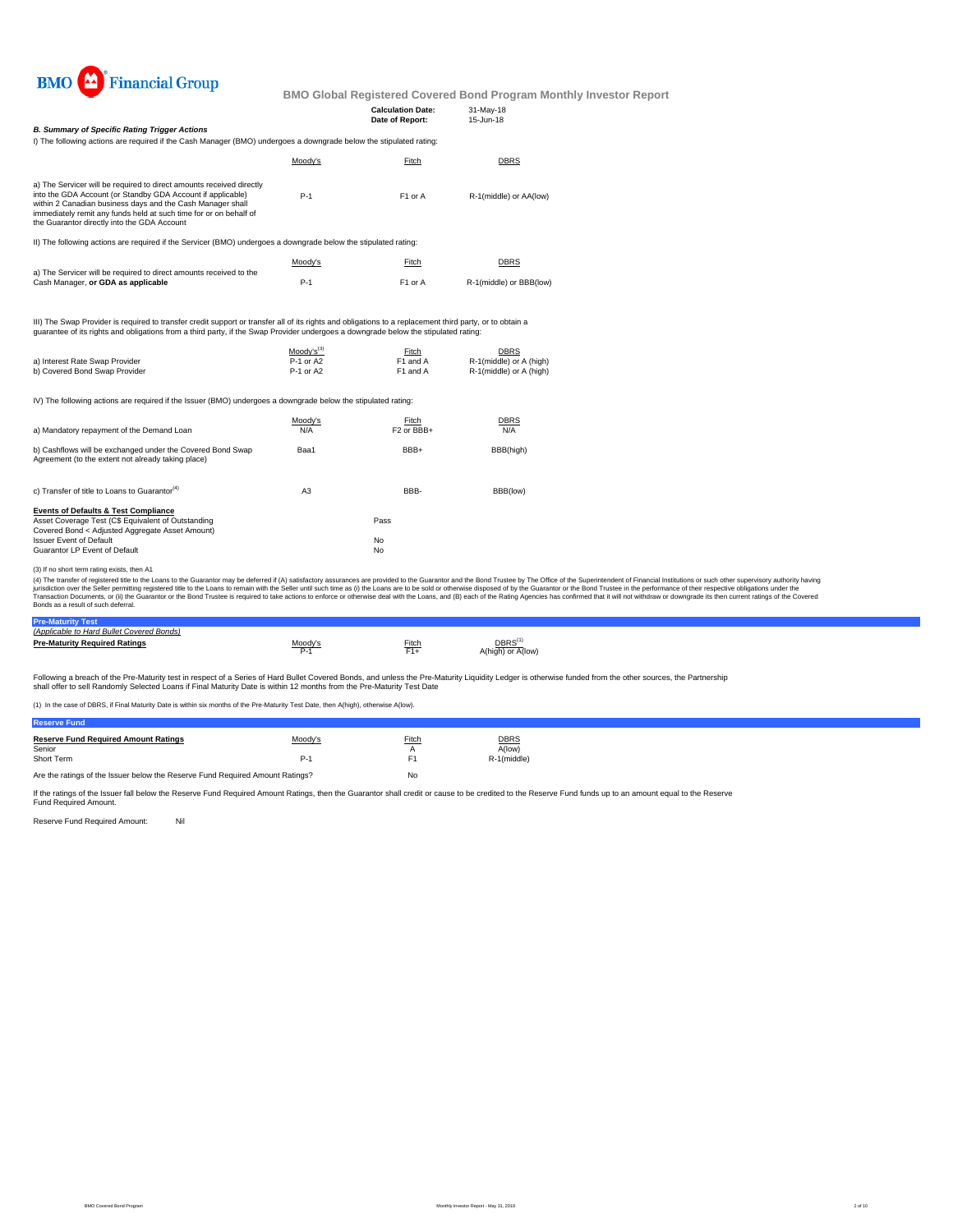

**Calculation Date:** 31-May-18

| <b>B. Summary of Specific Rating Trigger Actions</b>                                                                                                                                                                                                                                                                  |         | Date of Report: | 15-Jun-18               |  |
|-----------------------------------------------------------------------------------------------------------------------------------------------------------------------------------------------------------------------------------------------------------------------------------------------------------------------|---------|-----------------|-------------------------|--|
| I) The following actions are required if the Cash Manager (BMO) undergoes a downgrade below the stipulated rating:                                                                                                                                                                                                    |         |                 |                         |  |
|                                                                                                                                                                                                                                                                                                                       | Moody's | Fitch           | <b>DBRS</b>             |  |
| a) The Servicer will be required to direct amounts received directly<br>into the GDA Account (or Standby GDA Account if applicable)<br>within 2 Canadian business days and the Cash Manager shall<br>immediately remit any funds held at such time for or on behalf of<br>the Guarantor directly into the GDA Account | $P-1$   | F1 or A         | R-1(middle) or AA(low)  |  |
| II) The following actions are required if the Servicer (BMO) undergoes a downgrade below the stipulated rating:                                                                                                                                                                                                       |         |                 |                         |  |
|                                                                                                                                                                                                                                                                                                                       | Moody's | Fitch           | DBRS                    |  |
| a) The Servicer will be required to direct amounts received to the<br>Cash Manager, or GDA as applicable                                                                                                                                                                                                              | $P-1$   | F1 or A         | R-1(middle) or BBB(low) |  |
|                                                                                                                                                                                                                                                                                                                       |         |                 |                         |  |

III) The Swap Provider is required to transfer credit support or transfer all of its rights and obligations to a replacement third party, or to obtain a<br>guarantee of its rights and obligations from a third party, if the Sw

|                                | $Modv's^{(3)}$ | Fitch    | DBRS                    |
|--------------------------------|----------------|----------|-------------------------|
| a) Interest Rate Swap Provider | P-1 or A2      | F1 and A | R-1(middle) or A (high) |
| b) Covered Bond Swap Provider  | P-1 or A2      | F1 and A | R-1(middle) or A (high) |

IV) The following actions are required if the Issuer (BMO) undergoes a downgrade below the stipulated rating:

| a) Mandatory repayment of the Demand Loan                                                                                                                                                                                   | Moody's<br>N/A | Fitch<br>F <sub>2</sub> or BBB+ | <b>DBRS</b><br>N/A |
|-----------------------------------------------------------------------------------------------------------------------------------------------------------------------------------------------------------------------------|----------------|---------------------------------|--------------------|
| b) Cashflows will be exchanged under the Covered Bond Swap<br>Agreement (to the extent not already taking place)                                                                                                            | Baa1           | BBB+                            | BBB(high)          |
| c) Transfer of title to Loans to Guarantor <sup>(4)</sup>                                                                                                                                                                   | A <sub>3</sub> | BBB-                            | BBB(low)           |
| <b>Events of Defaults &amp; Test Compliance</b><br>Asset Coverage Test (C\$ Equivalent of Outstanding<br>Covered Bond < Adjusted Aggregate Asset Amount)<br><b>Issuer Event of Default</b><br>Guarantor LP Event of Default |                | Pass<br>No<br>No                |                    |

(3) If no short term rating exists, then A1

(4) The transfer of registered tilte to the Loans to the Guarantor may be deferred if (A) satistadoy assurances are provided to the Guarantor and the Bond Trustee by the Odifice of the System Trustee in the performance of

#### **Pre-Maturity Test** *(Applicable to Hard Bullet Covered Bonds)*

| <i><b>I ADDIICADIE IU FAIU DUIIEI COVETEU DUIIUSI</b></i> |         |          |                                   |
|-----------------------------------------------------------|---------|----------|-----------------------------------|
| <b>Pre-Maturity Required Ratings</b>                      | Moodv's | $F$ itch | $DBRS^{(1)}$<br>A(high) or A(low) |

Following a breach of the Pre-Maturity test in respect of a Series of Hard Bullet Covered Bonds, and unless the Pre-Maturity Liquidity Ledger is otherwise funded from the other sources, the Partnership<br>shall offer to sell

(1) In the case of DBRS, if Final Maturity Date is within six months of the Pre-Maturity Test Date, then A(high), otherwise A(low).

| --------------                              |         |              |             |  |
|---------------------------------------------|---------|--------------|-------------|--|
| <b>Reserve Fund Required Amount Ratings</b> | Moody's | <b>Fitch</b> | <b>DBRS</b> |  |
| Senior                                      |         |              | A(low)      |  |
| Short Term                                  | P-1     |              | R-1(middle) |  |
|                                             |         |              |             |  |

Are the ratings of the Issuer below the Reserve Fund Required Amount Ratings? No

If the ratings of the Issuer fall below the Reserve Fund Required Amount Ratings, then the Guarantor shall credit or cause to be credited to the Reserve Fund funds up to an amount equal to the Reserve Fund Required Amount.

Reserve Fund Required Amount: Nil

**Reserve Fund**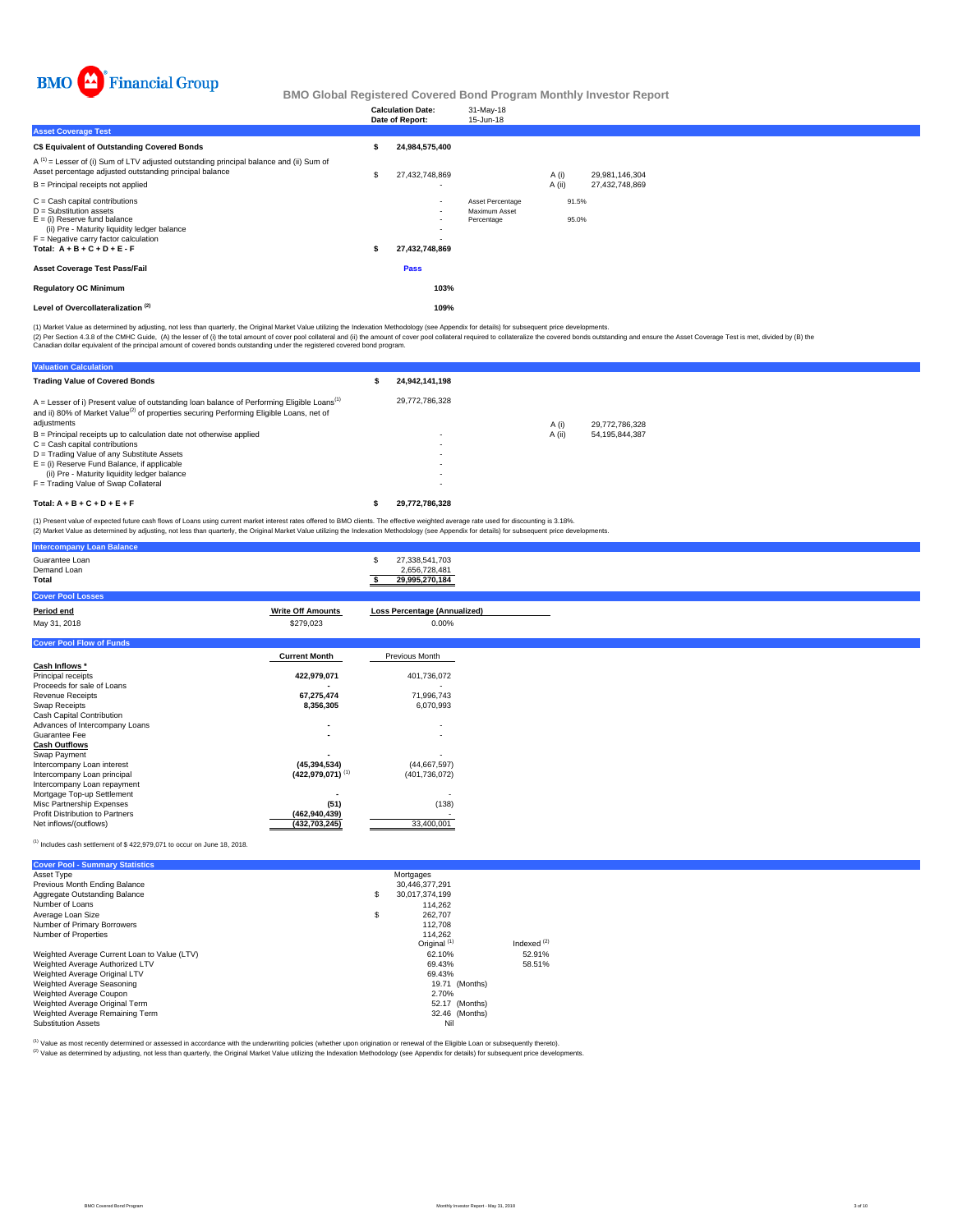

|                                                                                                                                                                                                                              | <b>Calculation Date:</b><br>Date of Report: | 31-May-18<br>15-Jun-18                          |                |                |  |  |
|------------------------------------------------------------------------------------------------------------------------------------------------------------------------------------------------------------------------------|---------------------------------------------|-------------------------------------------------|----------------|----------------|--|--|
| <b>Asset Coverage Test</b>                                                                                                                                                                                                   |                                             |                                                 |                |                |  |  |
| C\$ Equivalent of Outstanding Covered Bonds                                                                                                                                                                                  | 24,984,575,400                              |                                                 |                |                |  |  |
| $A^{(1)}$ = Lesser of (i) Sum of LTV adjusted outstanding principal balance and (ii) Sum of<br>Asset percentage adjusted outstanding principal balance                                                                       | 27,432,748,869                              |                                                 | A (i)          | 29,981,146,304 |  |  |
| B = Principal receipts not applied                                                                                                                                                                                           |                                             |                                                 | A (ii)         | 27,432,748,869 |  |  |
| $C =$ Cash capital contributions<br>$D =$ Substitution assets<br>$E =$ (i) Reserve fund balance<br>(ii) Pre - Maturity liquidity ledger balance<br>$F =$ Negative carry factor calculation<br>Total: $A + B + C + D + E - F$ | $\sim$<br>۰<br>27,432,748,869               | Asset Percentage<br>Maximum Asset<br>Percentage | 91.5%<br>95.0% |                |  |  |
| <b>Asset Coverage Test Pass/Fail</b>                                                                                                                                                                                         | Pass                                        |                                                 |                |                |  |  |
| <b>Regulatory OC Minimum</b>                                                                                                                                                                                                 | 103%                                        |                                                 |                |                |  |  |
| Level of Overcollateralization <sup>(2)</sup>                                                                                                                                                                                | 109%                                        |                                                 |                |                |  |  |

(1) Market Value as determined by adjusting, not less than quarterly, the Original Market Value utilizing the Indexation Methodology (see Appendix for details) for subsequent price developments.

(2) Per Section 4.3.8 of the CMHC Guide, (A) the lesser of (i) the total amount of cover pool collateral and (ii) the amount of cover pool collateral required to collateralize the covered bonds outstanding and ensure the A

| <b>Valuation Calculation</b>                                                                                                                                                                                                   |                |        |                   |
|--------------------------------------------------------------------------------------------------------------------------------------------------------------------------------------------------------------------------------|----------------|--------|-------------------|
| <b>Trading Value of Covered Bonds</b>                                                                                                                                                                                          | 24,942,141,198 |        |                   |
| $A =$ Lesser of i) Present value of outstanding loan balance of Performing Eligible Loans <sup>(1)</sup><br>and ii) 80% of Market Value <sup>(2)</sup> of properties securing Performing Eligible Loans, net of<br>adjustments | 29.772.786.328 | A(i)   | 29,772,786,328    |
| B = Principal receipts up to calculation date not otherwise applied                                                                                                                                                            |                | A (ii) | 54, 195, 844, 387 |
| $C = Cash$ capital contributions                                                                                                                                                                                               |                |        |                   |
| D = Trading Value of any Substitute Assets                                                                                                                                                                                     |                |        |                   |
| $E =$ (i) Reserve Fund Balance, if applicable                                                                                                                                                                                  |                |        |                   |
| (ii) Pre - Maturity liquidity ledger balance                                                                                                                                                                                   |                |        |                   |
| F = Trading Value of Swap Collateral                                                                                                                                                                                           |                |        |                   |
| Total: $A + B + C + D + E + F$                                                                                                                                                                                                 | 29.772.786.328 |        |                   |

(1) Present value of expected future cash flows of Loans using current market interest rates offered to BMO clients. The effective weighted average rate used for discounting is 3.18%.<br>(2) Market Value as determined by adju

| <b>Intercompany Loan Balance</b>       |                                  |                                                        |
|----------------------------------------|----------------------------------|--------------------------------------------------------|
| Guarantee Loan<br>Demand Loan<br>Total |                                  | 27,338,541,703<br>S<br>2,656,728,481<br>29,995,270,184 |
| <b>Cover Pool Losses</b>               |                                  |                                                        |
| Period end                             | <b>Write Off Amounts</b>         | <b>Loss Percentage (Annualized)</b>                    |
| May 31, 2018                           | \$279,023                        | $0.00\%$                                               |
| <b>Cover Pool Flow of Funds</b>        |                                  |                                                        |
|                                        | <b>Current Month</b>             | Previous Month                                         |
| Cash Inflows *                         |                                  |                                                        |
| Principal receipts                     | 422,979,071                      | 401,736,072                                            |
| Proceeds for sale of Loans             |                                  |                                                        |
| <b>Revenue Receipts</b>                | 67,275,474                       | 71,996,743                                             |
| Swap Receipts                          | 8,356,305                        | 6,070,993                                              |
| Cash Capital Contribution              |                                  |                                                        |
| Advances of Intercompany Loans         | ٠                                | ٠                                                      |
| Guarantee Fee                          | ٠                                | ٠                                                      |
| <b>Cash Outflows</b>                   |                                  |                                                        |
| Swap Payment                           |                                  |                                                        |
| Intercompany Loan interest             | (45, 394, 534)                   | (44,667,597)                                           |
| Intercompany Loan principal            | $(422, 979, 071)$ <sup>(1)</sup> | (401, 736, 072)                                        |
| Intercompany Loan repayment            |                                  |                                                        |
| Mortgage Top-up Settlement             |                                  |                                                        |
| Misc Partnership Expenses              | (51)                             | (138)                                                  |
| <b>Profit Distribution to Partners</b> | (462, 940, 439)                  |                                                        |
| Net inflows/(outflows)                 | (432,703,245)                    | 33,400,001                                             |

### (1) Includes cash settlement of \$ 422,979,071 to occur on June 18, 2018.

| <b>Cover Pool - Summary Statistics</b>       |                         |               |
|----------------------------------------------|-------------------------|---------------|
| Asset Type                                   | Mortgages               |               |
| Previous Month Ending Balance                | 30.446.377.291          |               |
| Aggregate Outstanding Balance                | \$<br>30.017.374.199    |               |
| Number of Loans                              | 114.262                 |               |
| Average Loan Size                            | \$<br>262.707           |               |
| Number of Primary Borrowers                  | 112.708                 |               |
| Number of Properties                         | 114.262                 |               |
|                                              | Original <sup>(1)</sup> | Indexed $(2)$ |
| Weighted Average Current Loan to Value (LTV) | 62.10%                  | 52.91%        |
| Weighted Average Authorized LTV              | 69.43%                  | 58.51%        |
| Weighted Average Original LTV                | 69.43%                  |               |
| Weighted Average Seasoning                   | 19.71 (Months)          |               |
| Weighted Average Coupon                      | 2.70%                   |               |
| Weighted Average Original Term               | 52.17 (Months)          |               |
| Weighted Average Remaining Term              | 32.46 (Months)          |               |
| <b>Substitution Assets</b>                   | Nil                     |               |

(1) Value as most recently determined or assessed in accordance with the underwriting policies (whether upon origination or renewal of the Eligible Loan or subsequently thereto).

Value as incorrection documents of documents in the children as the children of the United States of the Indexation Methodology (see Appendix for details) for subsequent price developments.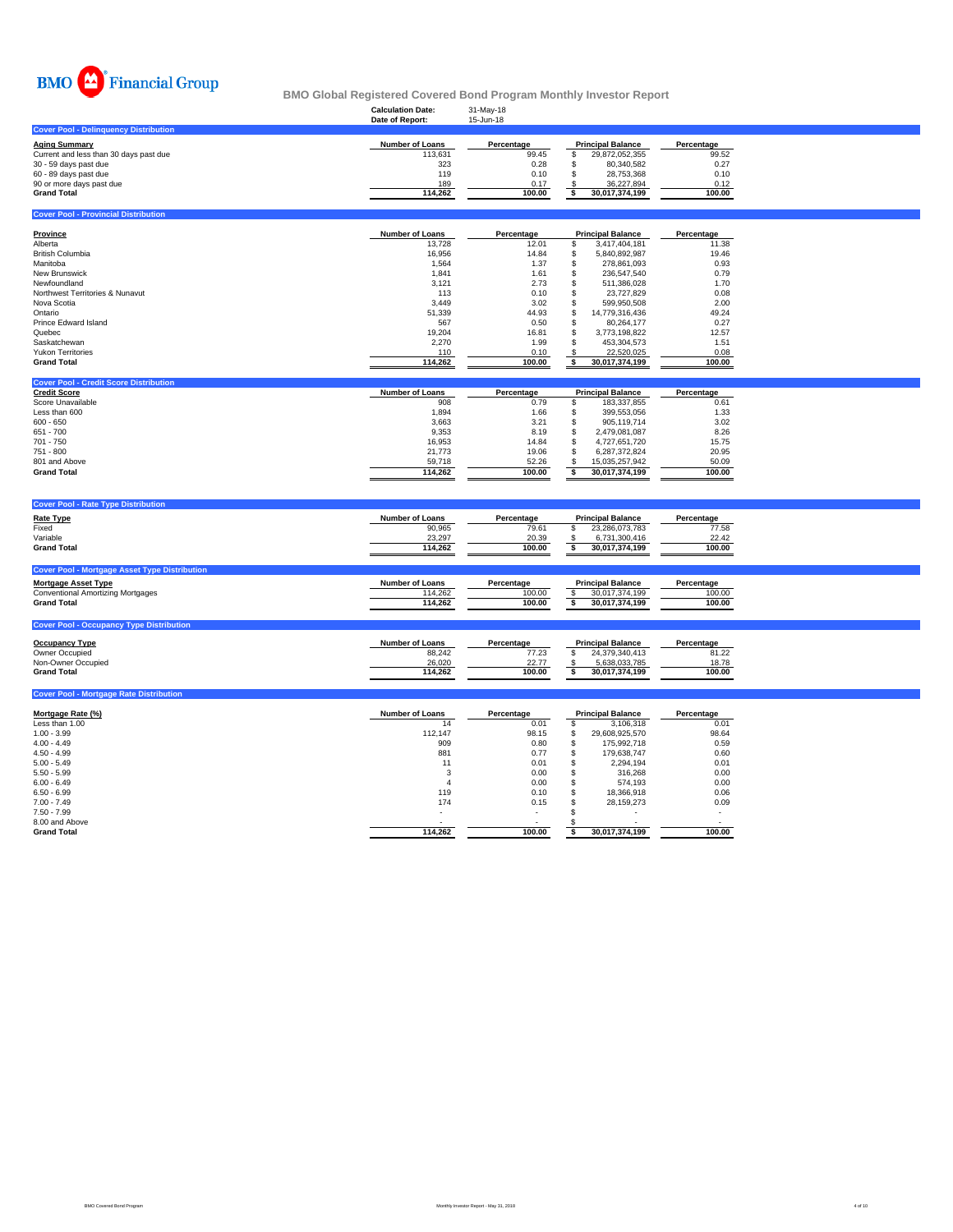

**Cover Pool - Provincial Distri** 

### **Calculation Date:** 31-May-18 **BMO Global Registered Covered Bond Program Monthly Investor Report**

|                                              | Date of Report: | 15-Jun-18  |                          |            |
|----------------------------------------------|-----------------|------------|--------------------------|------------|
| <b>Cover Pool - Delinguency Distribution</b> |                 |            |                          |            |
| Aging Summary                                | Number of Loans | Percentage | <b>Principal Balance</b> | Percentage |
| Current and less than 30 days past due       | 113.631         | 99.45      | 29.872.052.355           | 99.52      |
| 30 - 59 days past due                        | 323             | 0.28       | 80.340.582               | 0.27       |
| 60 - 89 days past due                        | 119             | 0.10       | 28.753.368               | 0.10       |
| 90 or more days past due                     | 189             | 0.17       | 36.227.894               | 0.12       |
| Grand Total                                  | 114.262         | 100.00     | 30.017.374.199           | 100.00     |
|                                              |                 |            |                          |            |

| Province                        | Number of Loans | Percentage | <b>Principal Balance</b> | Percentage |  |
|---------------------------------|-----------------|------------|--------------------------|------------|--|
| Alberta                         | 13.728          | 12.01      | 3.417.404.181            | 11.38      |  |
| <b>British Columbia</b>         | 16.956          | 14.84      | 5.840.892.987            | 19.46      |  |
| Manitoba                        | 1.564           | 1.37       | 278.861.093              | 0.93       |  |
| New Brunswick                   | 1.841           | 1.61       | 236.547.540              | 0.79       |  |
| Newfoundland                    | 3,121           | 2.73       | 511.386.028              | 1.70       |  |
| Northwest Territories & Nunavut | 113             | 0.10       | 23.727.829               | 0.08       |  |
| Nova Scotia                     | 3,449           | 3.02       | 599.950.508              | 2.00       |  |
| Ontario                         | 51.339          | 44.93      | 14.779.316.436           | 49.24      |  |
| Prince Edward Island            | 567             | 0.50       | 80.264.177               | 0.27       |  |
| Quebec                          | 19.204          | 16.81      | 3.773.198.822            | 12.57      |  |
| Saskatchewan                    | 2.270           | 1.99       | 453.304.573              | 1.51       |  |
| <b>Yukon Territories</b>        | 110             | 0.10       | 22.520.025               | 0.08       |  |
| <b>Grand Total</b>              | 114.262         | 100.00     | 30.017.374.199           | 100.00     |  |

| <b>Cover Pool - Credit Score Distribution</b> |                        |            |                          |                |            |
|-----------------------------------------------|------------------------|------------|--------------------------|----------------|------------|
| <b>Credit Score</b>                           | <b>Number of Loans</b> | Percentage | <b>Principal Balance</b> |                | Percentage |
| Score Unavailable                             | 908                    | 0.79       |                          | 183.337.855    | 0.61       |
| Less than 600                                 | 1.894                  | 1.66       |                          | 399.553.056    | 1.33       |
| $600 - 650$                                   | 3.663                  | 3.21       |                          | 905.119.714    | 3.02       |
| 651 - 700                                     | 9.353                  | 8.19       |                          | 2.479.081.087  | 8.26       |
| 701 - 750                                     | 16.953                 | 14.84      |                          | 4.727.651.720  | 15.75      |
| 751 - 800                                     | 21.773                 | 19.06      |                          | 6.287.372.824  | 20.95      |
| 801 and Above                                 | 59.718                 | 52.26      |                          | 15.035.257.942 | 50.09      |
| <b>Grand Total</b>                            | 114.262                | 100.00     |                          | 30.017.374.199 | 100.00     |

| <b>Cover Pool - Rate Type Distribution</b>           |                        |            |                          |            |
|------------------------------------------------------|------------------------|------------|--------------------------|------------|
| <b>Rate Type</b>                                     | <b>Number of Loans</b> | Percentage | <b>Principal Balance</b> | Percentage |
| Fixed                                                | 90,965                 | 79.61      | 23,286,073,783           | 77.58      |
| Variable                                             | 23,297                 | 20.39      | 6,731,300,416            | 22.42      |
| <b>Grand Total</b>                                   | 114.262                | 100.00     | 30.017.374.199           | 100.00     |
|                                                      |                        |            |                          |            |
| <b>Cover Pool - Mortgage Asset Type Distribution</b> |                        |            |                          |            |
| Mortgage Asset Type                                  | <b>Number of Loans</b> | Percentage | <b>Principal Balance</b> | Percentage |
| <b>Conventional Amortizing Mortgages</b>             | 114.262                | 100.00     | 30.017.374.199           | 100.00     |
| <b>Grand Total</b>                                   | 114.262                | 100.00     | 30,017,374,199           | 100.00     |
|                                                      |                        |            |                          |            |

| <b>Cover Pool - Occupancy Type Distribution</b> |                 |            |                          |            |
|-------------------------------------------------|-----------------|------------|--------------------------|------------|
| <b>Occupancy Type</b>                           | Number of Loans | Percentage | <b>Principal Balance</b> | Percentage |
| Owner Occupied                                  | 88,242          | 77.23      | 24.379.340.413           | 81.22      |
| Non-Owner Occupied                              | 26,020          | 22.77      | 5.638.033.785            | 18.78      |
| <b>Grand Total</b>                              | 114.262         | 100.00     | 30.017.374.199           | 100.00     |

| <b>Cover Pool - Mortgage Rate Distribution</b> |                        |            |                          |            |
|------------------------------------------------|------------------------|------------|--------------------------|------------|
| Mortgage Rate (%)                              | <b>Number of Loans</b> | Percentage | <b>Principal Balance</b> | Percentage |
| Less than 1.00                                 | 14                     | 0.01       | 3.106.318                | 0.01       |
| $1.00 - 3.99$                                  | 112.147                | 98.15      | 29,608,925,570           | 98.64      |
| $4.00 - 4.49$                                  | 909                    | 0.80       | 175,992,718              | 0.59       |
| $4.50 - 4.99$                                  | 881                    | 0.77       | 179.638.747              | 0.60       |
| $5.00 - 5.49$                                  | 11                     | 0.01       | 2.294.194                | 0.01       |
| $5.50 - 5.99$                                  | 3                      | 0.00       | 316,268                  | 0.00       |
| $6.00 - 6.49$                                  | 4                      | 0.00       | 574.193                  | 0.00       |
| $6.50 - 6.99$                                  | 119                    | 0.10       | 18,366,918               | 0.06       |
| $7.00 - 7.49$                                  | 174                    | 0.15       | 28.159.273               | 0.09       |
| $7.50 - 7.99$                                  |                        | $\sim$     | ۰                        |            |
| 8.00 and Above                                 |                        |            |                          |            |
| <b>Grand Total</b>                             | 114,262                | 100.00     | 30,017,374,199           | 100.00     |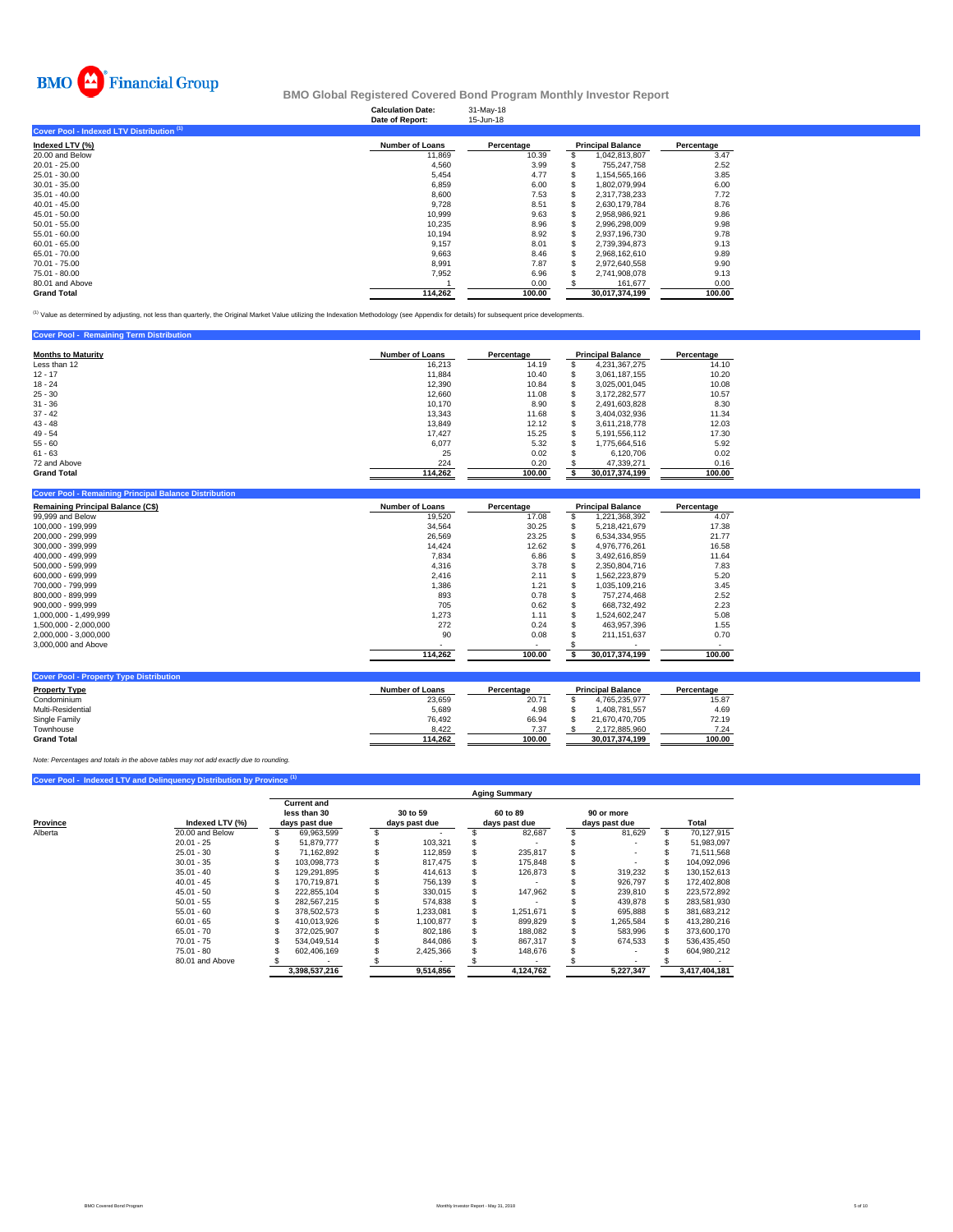

|                                           | <b>Calculation Date:</b><br>Date of Report: | 31-May-18<br>15-Jun-18 |                          |                |            |
|-------------------------------------------|---------------------------------------------|------------------------|--------------------------|----------------|------------|
| Cover Pool - Indexed LTV Distribution (1) |                                             |                        |                          |                |            |
| Indexed LTV (%)                           | <b>Number of Loans</b>                      | Percentage             | <b>Principal Balance</b> |                | Percentage |
| 20.00 and Below                           | 11,869                                      | 10.39                  | \$.                      | 1,042,813,807  | 3.47       |
| $20.01 - 25.00$                           | 4,560                                       | 3.99                   | 35                       | 755,247,758    | 2.52       |
| 25.01 - 30.00                             | 5,454                                       | 4.77                   | S                        | 1,154,565,166  | 3.85       |
| $30.01 - 35.00$                           | 6,859                                       | 6.00                   |                          | 1,802,079,994  | 6.00       |
| $35.01 - 40.00$                           | 8,600                                       | 7.53                   |                          | 2,317,738,233  | 7.72       |
| $40.01 - 45.00$                           | 9,728                                       | 8.51                   |                          | 2,630,179,784  | 8.76       |
| $45.01 - 50.00$                           | 10,999                                      | 9.63                   |                          | 2,958,986,921  | 9.86       |
| $50.01 - 55.00$                           | 10,235                                      | 8.96                   |                          | 2,996,298,009  | 9.98       |
| $55.01 - 60.00$                           | 10,194                                      | 8.92                   | S                        | 2.937.196.730  | 9.78       |
| $60.01 - 65.00$                           | 9.157                                       | 8.01                   | \$.                      | 2.739.394.873  | 9.13       |
| 65.01 - 70.00                             | 9,663                                       | 8.46                   |                          | 2,968,162,610  | 9.89       |
| 70.01 - 75.00                             | 8,991                                       | 7.87                   |                          | 2,972,640,558  | 9.90       |
| 75.01 - 80.00                             | 7,952                                       | 6.96                   |                          | 2,741,908,078  | 9.13       |
| 80.01 and Above                           |                                             | 0.00                   |                          | 161,677        | 0.00       |
| <b>Grand Total</b>                        | 114,262                                     | 100.00                 |                          | 30.017.374.199 | 100.00     |

<sup>(1)</sup> Value as determined by adjusting, not less than quarterly, the Original Market Value utilizing the Indexation Methodology (see Appendix for details) for subsequent price developments.

| <b>Cover Pool - Remaining Term Distribution</b> |                        |            |   |                          |            |
|-------------------------------------------------|------------------------|------------|---|--------------------------|------------|
| <b>Months to Maturity</b>                       | <b>Number of Loans</b> | Percentage |   | <b>Principal Balance</b> | Percentage |
| Less than 12                                    | 16.213                 | 14.19      |   | 4.231.367.275            | 14.10      |
| $12 - 17$                                       | 11,884                 | 10.40      | S | 3.061.187.155            | 10.20      |
| $18 - 24$                                       | 12,390                 | 10.84      |   | 3.025.001.045            | 10.08      |
| $25 - 30$                                       | 12,660                 | 11.08      |   | 3.172.282.577            | 10.57      |
| $31 - 36$                                       | 10.170                 | 8.90       |   | 2.491.603.828            | 8.30       |
| $37 - 42$                                       | 13.343                 | 11.68      |   | 3.404.032.936            | 11.34      |
| $43 - 48$                                       | 13.849                 | 12.12      |   | 3.611.218.778            | 12.03      |
| $49 - 54$                                       | 17.427                 | 15.25      |   | 5.191.556.112            | 17.30      |
| $55 - 60$                                       | 6.077                  | 5.32       |   | 1.775.664.516            | 5.92       |
| $61 - 63$                                       | 25                     | 0.02       |   | 6,120,706                | 0.02       |
| 72 and Above                                    | 224                    | 0.20       |   | 47.339.271               | 0.16       |
| <b>Grand Total</b>                              | 114,262                | 100.00     |   | 30,017,374,199           | 100.00     |

| <b>Remaining Principal Balance (C\$)</b> | <b>Number of Loans</b> | Percentage |    | <b>Principal Balance</b> | Percentage |  |
|------------------------------------------|------------------------|------------|----|--------------------------|------------|--|
| 99,999 and Below                         | 19,520                 | 17.08      |    | 1,221,368,392            | 4.07       |  |
| 100.000 - 199.999                        | 34,564                 | 30.25      |    | 5,218,421,679            | 17.38      |  |
| 200,000 - 299,999                        | 26,569                 | 23.25      | S  | 6,534,334,955            | 21.77      |  |
| 300.000 - 399.999                        | 14.424                 | 12.62      |    | 4.976.776.261            | 16.58      |  |
| 400.000 - 499.999                        | 7,834                  | 6.86       |    | 3.492.616.859            | 11.64      |  |
| 500.000 - 599.999                        | 4,316                  | 3.78       |    | 2,350,804,716            | 7.83       |  |
| 600.000 - 699.999                        | 2.416                  | 2.11       | \$ | 1,562,223,879            | 5.20       |  |
| 700,000 - 799,999                        | 1,386                  | 1.21       |    | 1,035,109,216            | 3.45       |  |
| 800.000 - 899.999                        | 893                    | 0.78       |    | 757.274.468              | 2.52       |  |
| 900,000 - 999,999                        | 705                    | 0.62       |    | 668.732.492              | 2.23       |  |
| 1,000,000 - 1,499,999                    | 1,273                  | 1.11       |    | 1,524,602,247            | 5.08       |  |
| 1,500,000 - 2,000,000                    | 272                    | 0.24       |    | 463,957,396              | 1.55       |  |
| 2,000,000 - 3,000,000                    | 90                     | 0.08       |    | 211.151.637              | 0.70       |  |
| 3,000,000 and Above                      |                        |            |    |                          |            |  |
|                                          | 114,262                | 100.00     |    | 30,017,374,199           | 100.00     |  |

| ----------------     |                        |            |                          |            |
|----------------------|------------------------|------------|--------------------------|------------|
| <b>Property Type</b> | <b>Number of Loans</b> | Percentage | <b>Principal Balance</b> | Percentage |
| Condominium          | 23.659                 | 20.71      | 4.765.235.977            | 15.87      |
| Multi-Residential    | 5,689                  | 4.98       | 1.408.781.557            | 4.69       |
| Single Family        | 76,492                 | 66.94      | 21.670.470.705           | 72.19      |
| Townhouse            | 8.422                  | 7.37       | 2.172.885.960            | 7.24       |
| <b>Grand Total</b>   | 114.262                | 100.00     | 30.017.374.199           | 100.00     |

*Note: Percentages and totals in the above tables may not add exactly due to rounding.*

### **Cover Pool - Indexed LTV and Delinquency Distribution by Province**

|          |                 | <b>Aging Summary</b>                                |               |                           |           |                           |           |                             |           |  |               |
|----------|-----------------|-----------------------------------------------------|---------------|---------------------------|-----------|---------------------------|-----------|-----------------------------|-----------|--|---------------|
| Province | Indexed LTV (%) | <b>Current and</b><br>less than 30<br>days past due |               | 30 to 59<br>days past due |           | 60 to 89<br>days past due |           | 90 or more<br>days past due |           |  | Total         |
| Alberta  | 20.00 and Below |                                                     | 69.963.599    |                           |           |                           | 82.687    |                             | 81.629    |  | 70.127.915    |
|          | $20.01 - 25$    |                                                     | 51.879.777    |                           | 103.321   |                           |           |                             |           |  | 51,983,097    |
|          | $25.01 - 30$    |                                                     | 71.162.892    |                           | 112,859   |                           | 235.817   |                             |           |  | 71.511.568    |
|          | $30.01 - 35$    |                                                     | 103.098.773   |                           | 817.475   |                           | 175,848   |                             |           |  | 104.092.096   |
|          | $35.01 - 40$    |                                                     | 129.291.895   |                           | 414.613   |                           | 126,873   |                             | 319.232   |  | 130.152.613   |
|          | $40.01 - 45$    |                                                     | 170.719.871   |                           | 756.139   |                           |           |                             | 926.797   |  | 172.402.808   |
|          | $45.01 - 50$    |                                                     | 222.855.104   |                           | 330.015   |                           | 147.962   |                             | 239,810   |  | 223.572.892   |
|          | $50.01 - 55$    |                                                     | 282.567.215   |                           | 574.838   |                           |           |                             | 439,878   |  | 283,581,930   |
|          | $55.01 - 60$    |                                                     | 378.502.573   |                           | ,233,081  |                           | 1.251.671 |                             | 695,888   |  | 381,683,212   |
|          | $60.01 - 65$    |                                                     | 410.013.926   |                           | .100.877  |                           | 899.829   |                             | 1.265.584 |  | 413.280.216   |
|          | $65.01 - 70$    |                                                     | 372.025.907   |                           | 802.186   |                           | 188.082   |                             | 583.996   |  | 373,600.170   |
|          | $70.01 - 75$    |                                                     | 534.049.514   |                           | 844.086   |                           | 867,317   |                             | 674,533   |  | 536,435,450   |
|          | $75.01 - 80$    |                                                     | 602.406.169   |                           | 2,425,366 |                           | 148,676   |                             |           |  | 604.980.212   |
|          | 80.01 and Above |                                                     |               |                           |           |                           |           |                             |           |  |               |
|          |                 |                                                     | 3.398.537.216 |                           | 9.514.856 |                           | 4.124.762 |                             | 5.227.347 |  | 3.417.404.181 |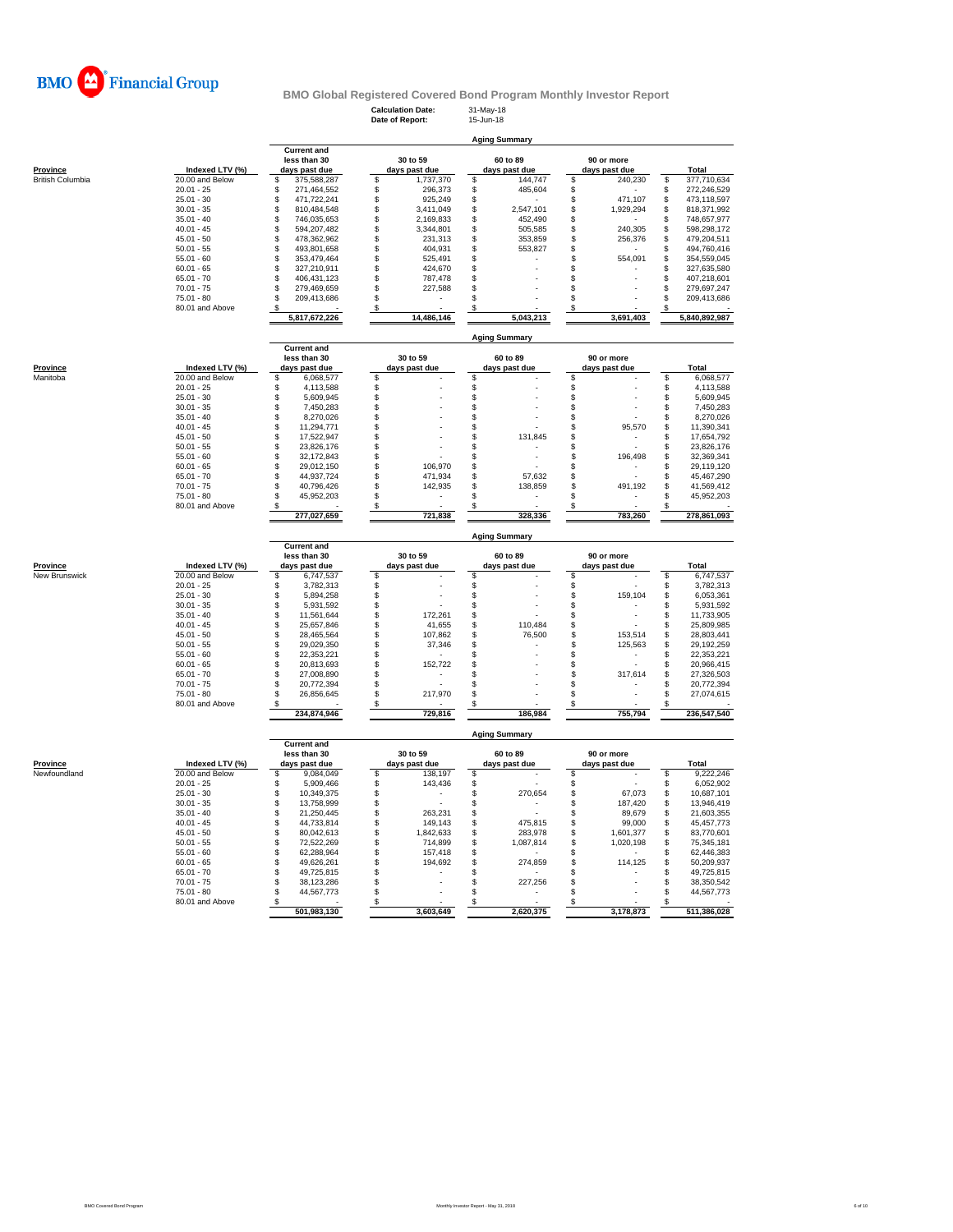

# **Calculation Date:** 31-May-18 **Date of Report:** 15-Jun-18 **BMO Global Registered Covered Bond Program Monthly Investor Report**

|                  |                 | <b>Aging Summary</b> |                                                     |  |                           |  |                           |  |                             |  |               |
|------------------|-----------------|----------------------|-----------------------------------------------------|--|---------------------------|--|---------------------------|--|-----------------------------|--|---------------|
| Province         | Indexed LTV (%) |                      | <b>Current and</b><br>less than 30<br>days past due |  | 30 to 59<br>days past due |  | 60 to 89<br>days past due |  | 90 or more<br>days past due |  | Total         |
| British Columbia | 20.00 and Below |                      | 375.588.287                                         |  | 1,737,370                 |  | 144,747                   |  | 240,230                     |  | 377,710,634   |
|                  | $20.01 - 25$    |                      | 271.464.552                                         |  | 296,373                   |  | 485.604                   |  |                             |  | 272.246.529   |
|                  | $25.01 - 30$    |                      | 471.722.241                                         |  | 925,249                   |  |                           |  | 471.107                     |  | 473.118.597   |
|                  | $30.01 - 35$    |                      | 810.484.548                                         |  | 3,411,049                 |  | 2,547,101                 |  | 1,929,294                   |  | 818,371,992   |
|                  | $35.01 - 40$    |                      | 746.035.653                                         |  | 2.169.833                 |  | 452.490                   |  |                             |  | 748,657,977   |
|                  | $40.01 - 45$    |                      | 594.207.482                                         |  | 3.344.801                 |  | 505.585                   |  | 240.305                     |  | 598.298.172   |
|                  | $45.01 - 50$    |                      | 478.362.962                                         |  | 231,313                   |  | 353,859                   |  | 256,376                     |  | 479,204,511   |
|                  | $50.01 - 55$    |                      | 493.801.658                                         |  | 404.931                   |  | 553,827                   |  |                             |  | 494.760.416   |
|                  | $55.01 - 60$    |                      | 353.479.464                                         |  | 525.491                   |  |                           |  | 554.091                     |  | 354.559.045   |
|                  | $60.01 - 65$    |                      | 327.210.911                                         |  | 424,670                   |  |                           |  |                             |  | 327.635.580   |
|                  | $65.01 - 70$    |                      | 406,431,123                                         |  | 787.478                   |  |                           |  |                             |  | 407.218.601   |
|                  | $70.01 - 75$    |                      | 279.469.659                                         |  | 227,588                   |  |                           |  |                             |  | 279,697,247   |
|                  | $75.01 - 80$    |                      | 209.413.686                                         |  |                           |  |                           |  |                             |  | 209,413,686   |
|                  | 80.01 and Above |                      |                                                     |  |                           |  |                           |  |                             |  |               |
|                  |                 |                      | 5,817,672,226                                       |  | 14.486.146                |  | 5,043,213                 |  | 3,691,403                   |  | 5.840.892.987 |

| <b>Aging Summary</b> |
|----------------------|
|                      |

**Aging Summary**

|          |                 | less than 30  | 30 to 59      | 60 to 89      | 90 or more    |              |
|----------|-----------------|---------------|---------------|---------------|---------------|--------------|
| Province | Indexed LTV (%) | days past due | days past due | days past due | days past due | <b>Total</b> |
| Manitoba | 20.00 and Below | 6.068.577     |               |               |               | 6,068,577    |
|          | $20.01 - 25$    | 4.113.588     |               |               |               | 4.113.588    |
|          | $25.01 - 30$    | 5,609,945     |               |               |               | 5,609,945    |
|          | $30.01 - 35$    | 7.450.283     |               |               |               | 7,450,283    |
|          | $35.01 - 40$    | 8.270.026     |               |               |               | 8.270.026    |
|          | $40.01 - 45$    | 11.294.771    |               |               | 95.570        | 11.390.341   |
|          | $45.01 - 50$    | 17.522.947    |               | 131.845       |               | 17.654.792   |
|          | $50.01 - 55$    | 23.826.176    |               |               |               | 23.826.176   |
|          | $55.01 - 60$    | 32.172.843    |               |               | 196,498       | 32.369.341   |
|          | $60.01 - 65$    | 29.012.150    | 106,970       |               |               | 29.119.120   |
|          | $65.01 - 70$    | 44.937.724    | 471.934       | 57.632        |               | 45.467.290   |
|          | $70.01 - 75$    | 40.796.426    | 142,935       | 138,859       | 491.192       | 41.569.412   |
|          | $75.01 - 80$    | 45.952.203    |               |               |               | 45.952.203   |
|          | 80.01 and Above |               |               |               |               |              |
|          |                 | 277.027.659   | 721,838       | 328,336       | 783.260       | 278.861.093  |

|               |                 | <b>Aging Summary</b> |                                                     |  |                           |  |                           |  |                             |  |             |  |  |  |
|---------------|-----------------|----------------------|-----------------------------------------------------|--|---------------------------|--|---------------------------|--|-----------------------------|--|-------------|--|--|--|
| Province      | Indexed LTV (%) |                      | <b>Current and</b><br>less than 30<br>days past due |  | 30 to 59<br>days past due |  | 60 to 89<br>days past due |  | 90 or more<br>days past due |  | Total       |  |  |  |
| New Brunswick | 20.00 and Below |                      | 6,747,537                                           |  |                           |  |                           |  | ۰                           |  | 6,747,537   |  |  |  |
|               | $20.01 - 25$    |                      | 3.782.313                                           |  |                           |  |                           |  |                             |  | 3.782.313   |  |  |  |
|               | $25.01 - 30$    |                      | 5.894.258                                           |  |                           |  |                           |  | 159.104                     |  | 6,053,361   |  |  |  |
|               | $30.01 - 35$    |                      | 5.931.592                                           |  |                           |  |                           |  |                             |  | 5,931,592   |  |  |  |
|               | $35.01 - 40$    |                      | 11.561.644                                          |  | 172,261                   |  |                           |  | ۰                           |  | 11.733.905  |  |  |  |
|               | $40.01 - 45$    |                      | 25,657,846                                          |  | 41,655                    |  | 110,484                   |  |                             |  | 25,809,985  |  |  |  |
|               | $45.01 - 50$    |                      | 28.465.564                                          |  | 107,862                   |  | 76,500                    |  | 153.514                     |  | 28,803,441  |  |  |  |
|               | $50.01 - 55$    |                      | 29.029.350                                          |  | 37,346                    |  |                           |  | 125.563                     |  | 29.192.259  |  |  |  |
|               | $55.01 - 60$    |                      | 22.353.221                                          |  |                           |  |                           |  | ۰                           |  | 22.353.221  |  |  |  |
|               | $60.01 - 65$    |                      | 20.813.693                                          |  | 152.722                   |  |                           |  |                             |  | 20,966,415  |  |  |  |
|               | $65.01 - 70$    |                      | 27,008.890                                          |  |                           |  |                           |  | 317.614                     |  | 27,326,503  |  |  |  |
|               | $70.01 - 75$    |                      | 20.772.394                                          |  |                           |  |                           |  | ۰                           |  | 20.772.394  |  |  |  |
|               | $75.01 - 80$    |                      | 26,856,645                                          |  | 217,970                   |  |                           |  | ۰                           |  | 27,074,615  |  |  |  |
|               | 80.01 and Above |                      |                                                     |  |                           |  |                           |  |                             |  |             |  |  |  |
|               |                 |                      | 234,874,946                                         |  | 729,816                   |  | 186,984                   |  | 755.794                     |  | 236,547,540 |  |  |  |

**Current and less than 30** 30 to 59 60 to 89 90 or more<br>
days past due days past due days past due 9,084,049  $\frac{1}{\$}$ **Province Indexed LTV (%) days past due days past due days past due days past due Total** Newfoundland 20.00 and Below 9,084,049 \$ 138,197 \$ - \$ - \$ 9,222,246 \$  $35.01 - 25$   $30.466$   $30.466$   $30.466$   $30.466$   $30.466$   $30.466$   $30.466$   $30.466$   $30.466$   $30.466$   $30.466$   $30.466$   $30.466$   $30.466$   $30.466$   $30.466$   $30.466$   $30.466$   $30.466$   $30.466$   $30.466$   $30.466$   $30.466$   $3$ 45.01 - 50 \$ 80,042,613 \$ 1,842,633 \$ 283,978 \$ 1,601,377 \$ 83,770,601 50.01 - 55 72,522,269 \$ 714,899 \$ 1,087,814 \$ 1,020,198 \$ 75,345,181 \$ 55.01 - 60 62,288,964 \$ 157,418 \$ - \$ - \$ 62,446,383 \$ 60.01 - 65 49,626,261 \$ 194,692 \$ 274,859 \$ 114,125 \$ 50,209,937 \$ 65.01 - 70 49,725,815 \$ - \$ - \$ - \$ 49,725,815 \$ 70.01 - 75 38,123,286 \$ - \$ 227,256 \$ - \$ 38,350,542 \$ 75.01 - 80 44,567,773 \$ - \$ - \$ - \$ 44,567,773 \$ 80.01 and Above  $\frac{\$}{501,983,130}$   $\frac{\$}{3,603,649}$   $\frac{\$}{2,620,375}$   $\frac{\$}{2,820,375}$   $\frac{\$}{3,178,873}$   $\frac{\$}{511,386,028}$ **501,983,130** 

**Current and**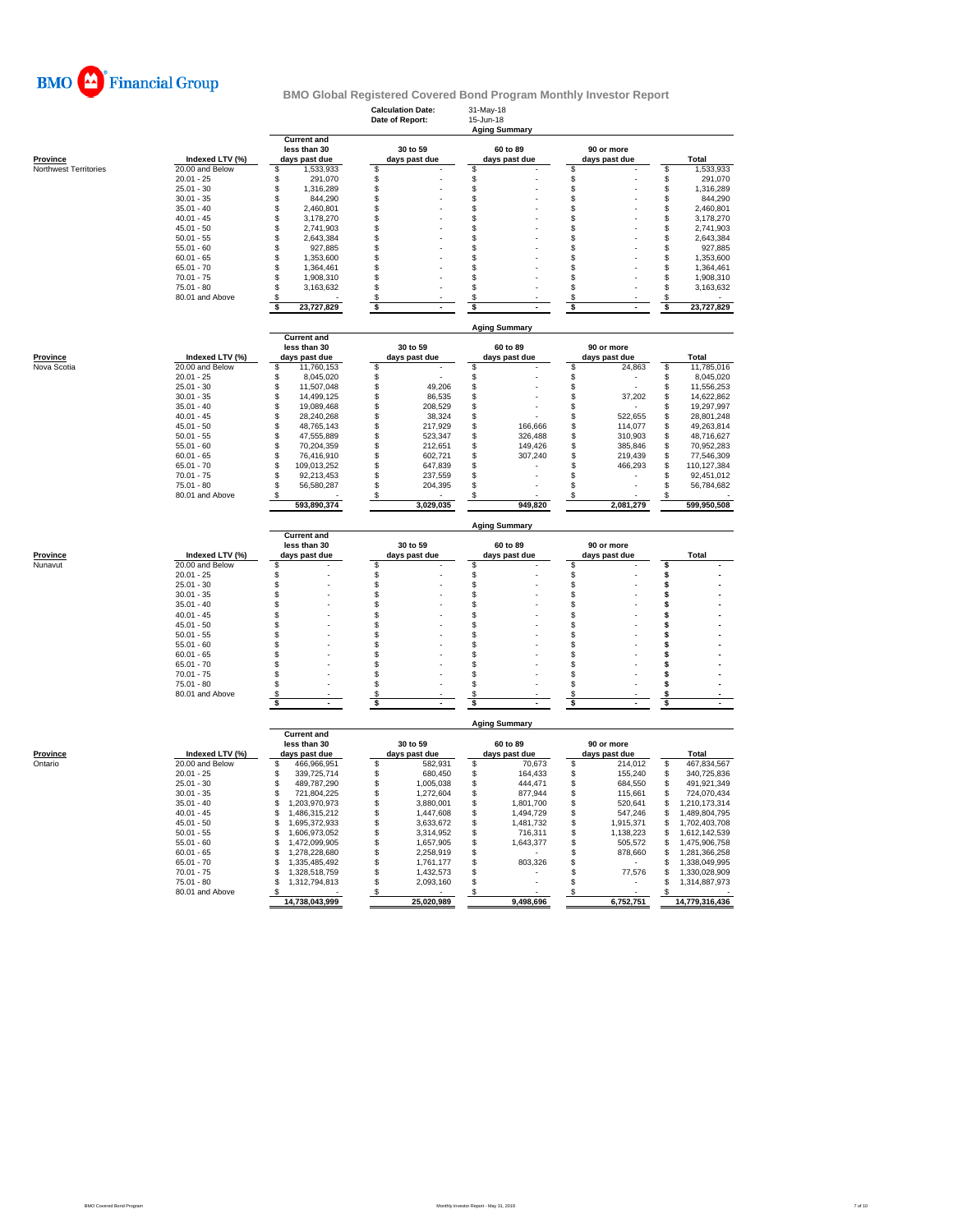

|                                          |                                    |                                    | <b>Calculation Date:</b><br>Date of Report: | 31-May-18<br>15-Jun-18<br><b>Aging Summary</b> |                     |                          |
|------------------------------------------|------------------------------------|------------------------------------|---------------------------------------------|------------------------------------------------|---------------------|--------------------------|
|                                          |                                    | <b>Current and</b><br>less than 30 | 30 to 59                                    | 60 to 89                                       | 90 or more          |                          |
| <b>Province</b><br>Northwest Territories | Indexed LTV (%)<br>20.00 and Below | days past due<br>1,533,933<br>\$   | days past due<br>\$                         | days past due<br>\$                            | days past due<br>\$ | Total<br>\$<br>1,533,933 |
|                                          | $20.01 - 25$                       | \$<br>291,070                      | \$                                          | \$                                             | \$                  | \$<br>291,070            |
|                                          | $25.01 - 30$                       | \$<br>1,316,289                    | \$                                          | \$                                             | \$                  | \$<br>1,316,289          |
|                                          | $30.01 - 35$                       | \$<br>844,290                      | \$                                          | \$                                             | \$                  | \$<br>844,290            |
|                                          | $35.01 - 40$                       | \$<br>2,460,801                    | \$                                          | \$                                             | \$                  | 2,460,801<br>\$          |
|                                          | $40.01 - 45$                       | \$<br>3,178,270                    | \$                                          | \$                                             | \$                  | \$<br>3,178,270          |
|                                          | $45.01 - 50$                       | $\ddot{\$}$<br>2,741,903           | \$                                          | S                                              | S                   | \$<br>2,741,903          |
|                                          | $50.01 - 55$                       | \$<br>2,643,384                    | \$                                          | \$                                             | \$                  | \$<br>2,643,384          |
|                                          | $55.01 - 60$                       | \$<br>927,885                      | \$                                          | \$                                             | \$                  | \$<br>927,885            |
|                                          | $60.01 - 65$                       | \$<br>1,353,600                    | \$                                          | \$                                             | \$                  | 1,353,600<br>\$          |
|                                          | $65.01 - 70$                       | \$<br>1,364,461                    | \$                                          | \$                                             | \$                  | \$<br>1,364,461          |
|                                          | $70.01 - 75$                       | \$<br>1,908,310                    | \$                                          | \$                                             | \$                  | \$<br>1,908,310          |
|                                          | $75.01 - 80$                       | \$<br>3,163,632                    | \$                                          | \$                                             | \$                  | \$<br>3,163,632          |
|                                          | 80.01 and Above                    | \$                                 | \$                                          | S                                              | \$                  | S                        |
|                                          |                                    | 23,727,829<br>\$                   | \$                                          | \$                                             | \$                  | 23,727,829<br>\$         |
|                                          |                                    | <b>Current and</b>                 |                                             | <b>Aging Summary</b>                           |                     |                          |
|                                          |                                    | less than 30                       | 30 to 59                                    | 60 to 89                                       | 90 or more          |                          |
| <b>Province</b>                          | Indexed LTV (%)                    | days past due                      | days past due                               | days past due                                  | days past due       | Total                    |
| Nova Scotia                              | 20.00 and Below                    | 11,760,153<br>\$                   | \$                                          | S                                              | \$<br>24,863        | \$<br>11,785,016         |
|                                          | $20.01 - 25$                       | \$<br>8,045,020                    | \$                                          | \$                                             | \$                  | 8,045,020<br>\$          |
|                                          | $25.01 - 30$                       | \$<br>11,507,048                   | \$<br>49,206                                | \$                                             | \$                  | 11,556,253<br>S          |
|                                          | $30.01 - 35$                       | \$<br>14,499,125                   | \$<br>86,535                                | \$                                             | 37,202<br>\$        | \$<br>14,622,862         |
|                                          | $35.01 - 40$                       | \$<br>19,089,468                   | \$<br>208,529                               | \$                                             | \$                  | \$<br>19,297,997         |
|                                          | $40.01 - 45$                       | \$<br>28,240,268                   | \$<br>38,324                                | \$                                             | \$<br>522,655       | 28,801,248<br>\$         |
|                                          | $45.01 - 50$                       | \$<br>48,765,143                   | \$<br>217,929                               | \$<br>166.666                                  | \$<br>114,077       | 49,263,814<br>S          |
|                                          | $50.01 - 55$                       | \$<br>47,555,889                   | \$<br>523,347                               | \$<br>326,488                                  | \$<br>310,903       | \$<br>48,716,627         |
|                                          | $55.01 - 60$                       | \$<br>70,204,359                   | \$<br>212,651                               | \$<br>149,426                                  | \$<br>385,846       | \$<br>70,952,283         |
|                                          | $60.01 - 65$                       | \$<br>76,416,910                   | \$<br>602.721                               | \$<br>307,240                                  | \$<br>219,439       | \$<br>77,546,309         |
|                                          | $65.01 - 70$                       | \$<br>109,013,252                  | \$<br>647,839                               | \$                                             | 466,293<br>\$       | \$<br>110,127,384        |
|                                          | $70.01 - 75$                       | \$<br>92,213,453                   | \$<br>237,559                               | S                                              | S                   | S<br>92,451,012          |
|                                          | $75.01 - 80$                       | \$<br>56,580,287                   | \$<br>204,395                               | \$                                             | \$                  | 56,784,682<br>S          |
|                                          | 80.01 and Above                    | 593,890,374                        | \$<br>3,029,035                             | 949,820                                        | \$<br>2,081,279     | 599,950,508              |
|                                          |                                    |                                    |                                             |                                                |                     |                          |
|                                          |                                    |                                    |                                             |                                                |                     |                          |
|                                          |                                    | <b>Current and</b><br>less than 30 | 30 to 59                                    | <b>Aging Summary</b><br>60 to 89               | 90 or more          |                          |
| Province                                 | Indexed LTV (%)                    | days past due                      | days past due                               | days past due                                  | days past due       | <b>Total</b>             |
| Nunavut                                  | 20.00 and Below                    | \$                                 | \$                                          | \$                                             | \$                  | S                        |
|                                          | $20.01 - 25$                       | \$                                 | \$                                          | \$                                             | \$                  | \$                       |
|                                          | $25.01 - 30$                       | \$                                 | \$                                          | \$                                             | \$                  | \$                       |
|                                          | $30.01 - 35$                       | \$                                 | \$                                          | \$                                             | \$                  | \$                       |
|                                          | $35.01 - 40$                       | \$                                 | \$                                          | \$                                             | \$                  | \$                       |
|                                          | $40.01 - 45$                       | \$                                 | \$                                          | \$                                             | \$                  | \$                       |
|                                          | $45.01 - 50$                       | \$                                 | \$                                          | \$                                             | \$                  | \$                       |
|                                          | $50.01 - 55$                       | \$                                 | \$                                          | \$                                             | \$                  | s                        |
|                                          | $55.01 - 60$                       | \$                                 | \$                                          | S                                              | S                   | \$                       |
|                                          | $60.01 - 65$                       | \$                                 | \$                                          | \$                                             | \$                  | s                        |
|                                          | $65.01 - 70$                       | \$                                 | \$                                          | S                                              | S                   | \$                       |
|                                          | $70.01 - 75$                       | \$                                 | \$                                          | \$                                             | \$                  | \$                       |
|                                          | $75.01 - 80$                       | \$                                 | \$                                          | \$                                             | \$                  | s                        |
|                                          | 80.01 and Above                    | \$<br>\$                           | S<br>\$                                     | S<br>\$                                        | S<br>\$             | \$<br>\$                 |
|                                          |                                    |                                    |                                             | <b>Aging Summary</b>                           |                     |                          |
|                                          |                                    | <b>Current and</b>                 |                                             |                                                |                     |                          |
|                                          |                                    | less than 30                       | 30 to 59                                    | 60 to 89                                       | 90 or more          |                          |
| <b>Province</b>                          | Indexed LTV (%)                    | days past due                      | days past due                               | days past due                                  | days past due       | Total                    |
| Ontario                                  | 20.00 and Below                    | \$<br>466,966,951                  | 582,931<br>\$                               | \$<br>70,673                                   | \$<br>214,012       | \$<br>467,834,567        |
|                                          | $20.01 - 25$                       | \$<br>339,725,714                  | \$<br>680,450                               | \$<br>164,433                                  | \$<br>155,240       | 340,725,836<br>\$        |
|                                          | $25.01 - 30$                       | \$<br>489,787,290                  | \$<br>1,005,038                             | \$<br>444,471                                  | 684,550<br>\$       | \$<br>491,921,349        |
|                                          | $30.01 - 35$                       | \$<br>721,804,225                  | \$<br>1,272,604                             | \$<br>877,944                                  | \$<br>115,661       | 724,070,434<br>\$        |
|                                          | $35.01 - 40$                       | \$<br>1,203,970,973                | \$<br>3,880,001                             | \$<br>1,801,700                                | \$<br>520,641       | 1,210,173,314<br>S       |
|                                          | $40.01 - 45$                       | \$<br>1,486,315,212                | \$<br>1,447,608                             | \$<br>1,494,729                                | \$<br>547,246       | 1,489,804,795<br>\$      |
|                                          | $45.01 - 50$                       | \$<br>1,695,372,933                | \$<br>3,633,672                             | \$<br>1,481,732                                | \$<br>1,915,371     | 1,702,403,708<br>S       |
|                                          | $50.01 - 55$                       | \$<br>1,606,973,052                | \$<br>3,314,952                             | \$<br>716,311                                  | 1,138,223<br>\$     | S<br>1,612,142,539       |
|                                          | $55.01 - 60$                       | 1,472,099,905<br>S                 | \$<br>1,657,905                             | \$<br>1,643,377                                | \$<br>505,572       | 1,475,906,758<br>S       |
|                                          | $60.01 - 65$                       | \$<br>1,278,228,680                | \$<br>2,258,919                             | \$                                             | 878,660<br>S        | 1,281,366,258<br>S       |
|                                          | $65.01 - 70$                       | \$<br>1,335,485,492                | \$<br>1,761,177                             | s<br>803,326                                   | S                   | 1,338,049,995<br>S       |
|                                          | $70.01 - 75$                       | \$<br>1,328,518,759                | \$<br>1,432,573                             | \$                                             | \$<br>77,576        | 1,330,028,909<br>S       |
|                                          | $75.01 - 80$                       | \$<br>1,312,794,813                | \$<br>2,093,160                             | \$                                             | \$                  | \$<br>1,314,887,973      |
|                                          | 80.01 and Above                    | - \$<br>14,738,043,999             | S<br>25,020,989                             | 9,498,696                                      | S<br>6,752,751      | 14,779,316,436           |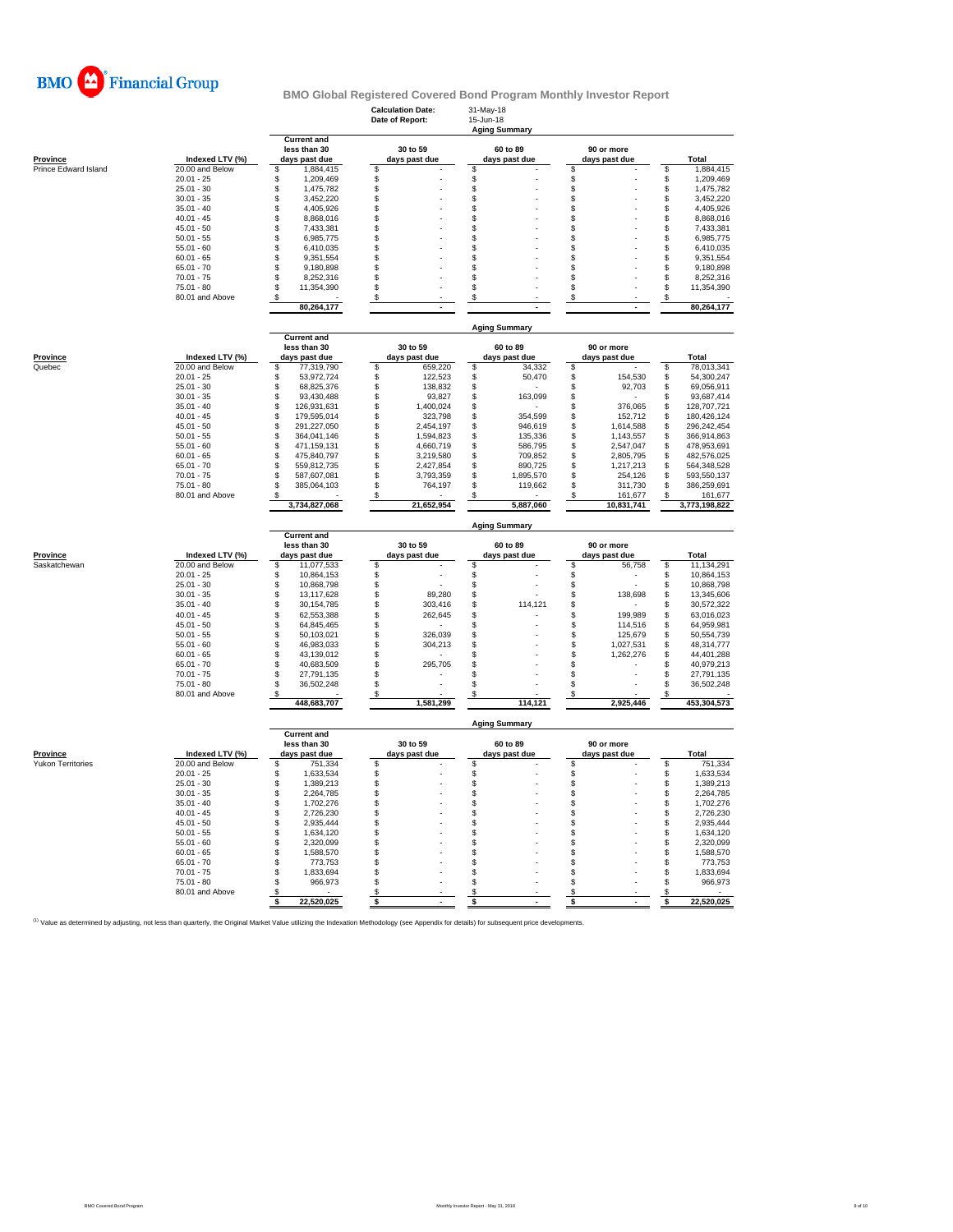

**Calculation Date:** 31-May-18

|                           |                                    |                                      | Date of Report:                | 15-Jun-18                    |                     |          |                        |
|---------------------------|------------------------------------|--------------------------------------|--------------------------------|------------------------------|---------------------|----------|------------------------|
|                           |                                    | <b>Current and</b>                   |                                | <b>Aging Summary</b>         |                     |          |                        |
|                           |                                    | less than 30                         | 30 to 59                       | 60 to 89                     | 90 or more          |          |                        |
| Province                  | Indexed LTV (%)                    | days past due                        | days past due                  | days past due                | days past due       |          | Total                  |
| Prince Edward Island      | 20.00 and Below                    | 1,884,415<br>S                       | \$                             | \$                           | \$                  | \$       | 1,884,415              |
|                           | $20.01 - 25$                       | 1,209,469<br>\$                      | \$                             | \$                           | \$                  | \$       | 1,209,469              |
|                           | $25.01 - 30$                       | 1,475,782<br>\$                      | \$                             | \$                           | \$                  | \$       | 1,475,782              |
|                           | $30.01 - 35$                       | \$<br>3,452,220                      | \$                             | \$                           | \$                  | \$       | 3,452,220              |
|                           | $35.01 - 40$                       | \$<br>4,405,926                      | \$                             | \$                           | \$                  | \$       | 4,405,926              |
|                           | $40.01 - 45$                       | \$<br>8,868,016                      | $\mathbf{s}$                   | \$                           | \$                  | \$       | 8,868,016              |
|                           | $45.01 - 50$                       | \$<br>7,433,381                      | \$                             | \$                           | \$                  | \$       | 7,433,381              |
|                           | $50.01 - 55$                       | S<br>6,985,775                       | S                              | \$                           | \$                  | \$       | 6,985,775              |
|                           | $55.01 - 60$                       | \$<br>6,410,035                      | \$                             | \$                           | \$                  | \$       | 6,410,035              |
|                           | $60.01 - 65$                       | \$<br>9,351,554                      | \$                             | \$                           | \$                  | \$       | 9,351,554              |
|                           | $65.01 - 70$                       | \$<br>9,180,898                      | \$                             | \$                           | \$                  | \$       | 9,180,898              |
|                           | $70.01 - 75$                       | \$<br>8,252,316                      | \$                             | \$                           | \$.                 | \$       | 8,252,316              |
|                           | $75.01 - 80$                       | \$<br>11,354,390                     | \$                             | \$                           | \$                  | \$       | 11,354,390             |
|                           | 80.01 and Above                    | \$                                   | \$                             | \$                           | \$                  | \$       |                        |
|                           |                                    | 80,264,177                           |                                |                              |                     |          | 80,264,177             |
|                           |                                    |                                      |                                |                              |                     |          |                        |
|                           |                                    |                                      |                                | <b>Aging Summary</b>         |                     |          |                        |
|                           |                                    | <b>Current and</b>                   |                                |                              |                     |          |                        |
|                           |                                    | less than 30                         | 30 to 59                       | 60 to 89                     | 90 or more          |          |                        |
| <b>Province</b><br>Quebec | Indexed LTV (%)<br>20.00 and Below | days past due                        | days past due                  | days past due                | days past due       |          | Total<br>78,013,341    |
|                           | $20.01 - 25$                       | 77,319,790<br>\$<br>53,972,724<br>\$ | \$<br>659,220<br>\$<br>122,523 | \$<br>34,332<br>\$<br>50,470 | \$<br>\$<br>154,530 | \$<br>\$ | 54,300,247             |
|                           | $25.01 - 30$                       | \$<br>68,825,376                     | \$<br>138,832                  | \$                           | \$<br>92,703        | \$       | 69,056,911             |
|                           | $30.01 - 35$                       | \$<br>93,430,488                     | \$<br>93,827                   | S<br>163,099                 | \$                  | \$       | 93,687,414             |
|                           | $35.01 - 40$                       | \$<br>126,931,631                    | \$<br>1,400,024                | \$                           | 376,065             | \$       | 128,707,721            |
|                           |                                    | \$                                   |                                |                              | \$                  |          |                        |
|                           | $40.01 - 45$<br>$45.01 - 50$       | 179,595,014<br>\$                    | \$<br>323,798<br>\$            | \$<br>354,599<br>\$          | \$<br>152,712<br>\$ | \$       | 180,426,124            |
|                           |                                    | 291,227,050                          | 2,454,197                      | 946,619                      | 1,614,588           | \$       | 296,242,454            |
|                           | $50.01 - 55$                       | 364,041,146<br>\$                    | \$<br>1,594,823                | \$<br>135,336                | \$<br>1,143,557     | \$       | 366,914,863            |
|                           | $55.01 - 60$                       | \$<br>471,159,131                    | \$<br>4,660,719                | \$<br>586,795                | \$<br>2,547,047     | \$       | 478,953,691            |
|                           | $60.01 - 65$                       | \$<br>475,840,797                    | \$<br>3,219,580                | 709,852<br>S                 | \$<br>2,805,795     | \$       | 482,576,025            |
|                           | $65.01 - 70$                       | 559,812,735<br>\$                    | \$<br>2,427,854                | 890,725<br>\$                | \$<br>1,217,213     | \$       | 564,348,528            |
|                           | $70.01 - 75$                       | 587,607,081<br>\$                    | \$<br>3,793,359                | \$<br>1,895,570              | 254,126<br>\$       | \$       | 593,550,137            |
|                           | $75.01 - 80$                       | \$<br>385,064,103                    | \$<br>764,197                  | s<br>119,662                 | \$<br>311,730       | \$       | 386,259,691            |
|                           | 80.01 and Above                    |                                      | -S                             | S                            | 161,677<br>S        | \$       | 161,677                |
|                           |                                    | 3,734,827,068                        | 21,652,954                     | 5,887,060                    | 10,831,741          |          | 3,773,198,822          |
|                           |                                    |                                      |                                |                              |                     |          |                        |
|                           |                                    |                                      |                                |                              |                     |          |                        |
|                           |                                    |                                      |                                | <b>Aging Summary</b>         |                     |          |                        |
|                           |                                    | <b>Current and</b>                   |                                |                              |                     |          |                        |
|                           |                                    | less than 30                         | 30 to 59                       | 60 to 89                     | 90 or more          |          |                        |
| Province                  | Indexed LTV (%)                    | days past due                        | days past due                  | days past due                | days past due       |          | <b>Total</b>           |
| Saskatchewan              | 20.00 and Below                    | ዴ<br>11,077,533                      | \$                             | \$                           | \$<br>56,758        | \$       | 11,134,291             |
|                           | $20.01 - 25$                       | \$<br>10,864,153                     | \$                             | \$                           | \$                  | \$       | 10,864,153             |
|                           | $25.01 - 30$                       | \$<br>10,868,798                     | \$                             | \$                           | \$                  | \$       | 10,868,798             |
|                           | $30.01 - 35$                       | \$<br>13,117,628                     | \$<br>89,280                   | \$                           | \$<br>138,698       | \$       | 13,345,606             |
|                           | $35.01 - 40$                       | \$<br>30,154,785                     | \$<br>303,416                  | \$<br>114,121                | \$                  | \$       | 30,572,322             |
|                           | $40.01 - 45$                       | \$<br>62,553,388                     | \$<br>262,645                  | \$                           | \$<br>199,989       | \$       | 63,016,023             |
|                           | $45.01 - 50$                       | \$<br>64,845,465                     | \$                             | S                            | \$<br>114,516       | \$       | 64,959,981             |
|                           | $50.01 - 55$                       | \$<br>50,103,021                     | \$<br>326,039                  | \$                           | \$<br>125,679       | \$       | 50,554,739             |
|                           | $55.01 - 60$                       | \$<br>46,983,033                     | \$<br>304,213                  | \$                           | \$<br>1,027,531     | \$       | 48,314,777             |
|                           | $60.01 - 65$                       | \$<br>43,139,012                     | \$                             | \$                           | \$<br>1,262,276     | \$       | 44,401,288             |
|                           | $65.01 - 70$                       | 40,683,509<br>\$                     | \$<br>295,705                  | \$                           | \$                  | \$       | 40,979,213             |
|                           | $70.01 - 75$                       | \$<br>27,791,135                     | \$                             | S                            | \$                  | \$       | 27,791,135             |
|                           | $75.01 - 80$                       | \$<br>36,502,248                     | \$                             | \$                           | \$                  | \$       | 36,502,248             |
|                           | 80.01 and Above                    | S                                    | \$                             | S                            | \$                  | \$       |                        |
|                           |                                    | 448,683,707                          | 1,581,299                      | 114,121                      | 2,925,446           |          | 453,304,573            |
|                           |                                    |                                      |                                |                              |                     |          |                        |
|                           |                                    |                                      |                                | <b>Aging Summary</b>         |                     |          |                        |
|                           |                                    | <b>Current and</b><br>less than 30   | 30 to 59                       |                              |                     |          |                        |
|                           | Indexed LTV (%)                    |                                      |                                | 60 to 89                     | 90 or more          |          | Total                  |
| <b>Province</b>           |                                    | days past due                        | days past due                  | days past due                | days past due       |          |                        |
| Yukon Territories         | 20.00 and Below                    | \$<br>751,334<br>S                   | \$                             | \$                           | \$                  | \$       | 751,334                |
|                           | $20.01 - 25$<br>$25.01 - 30$       | 1,633,534<br>\$                      | \$                             | \$                           | \$                  | \$       | 1,633,534              |
|                           | $30.01 - 35$                       | 1,389,213<br>\$<br>2,264,785         | \$<br>\$                       | \$<br>\$                     | \$<br>\$            | \$<br>\$ | 1,389,213<br>2,264,785 |
|                           | $35.01 - 40$                       | \$<br>1,702,276                      | \$                             |                              |                     |          |                        |
|                           |                                    | \$<br>2,726,230                      | \$                             | \$                           | \$<br>\$            | \$       | 1,702,276              |
|                           | $40.01 - 45$                       |                                      |                                | \$                           |                     | \$       | 2,726,230              |
|                           | $45.01 - 50$                       | 2,935,444<br>\$                      | \$                             | \$                           | \$                  | \$       | 2,935,444              |
|                           | $50.01 - 55$<br>$55.01 - 60$       | \$<br>1,634,120<br>\$                | \$<br>\$                       | \$<br>\$                     | \$<br>\$            | \$       | 1,634,120              |
|                           | $60.01 - 65$                       | 2,320,099<br>\$<br>1,588,570         | \$                             | \$                           | \$                  | \$       | 2,320,099<br>1,588,570 |
|                           |                                    | \$                                   |                                |                              |                     | \$       |                        |
|                           | $65.01 - 70$                       | 773,753                              | \$                             | \$                           | \$                  | \$       | 773,753                |
|                           | $70.01 - 75$<br>$75.01 - 80$       | \$<br>1,833,694                      | \$                             | \$                           | \$                  | \$       | 1,833,694              |
|                           |                                    | S<br>966,973<br>\$                   | \$                             | \$                           | \$                  | \$       | 966,973                |
|                           | 80.01 and Above                    | 22,520,025<br>ŝ.                     | \$<br>\$                       | \$<br>\$                     | \$<br>\$            | \$<br>s  | 22,520,025             |

<sup>(1)</sup> Value as determined by adjusting, not less than quarterly, the Original Market Value utilizing the Indexation Methodology (see Appendix for details) for subsequent price developments.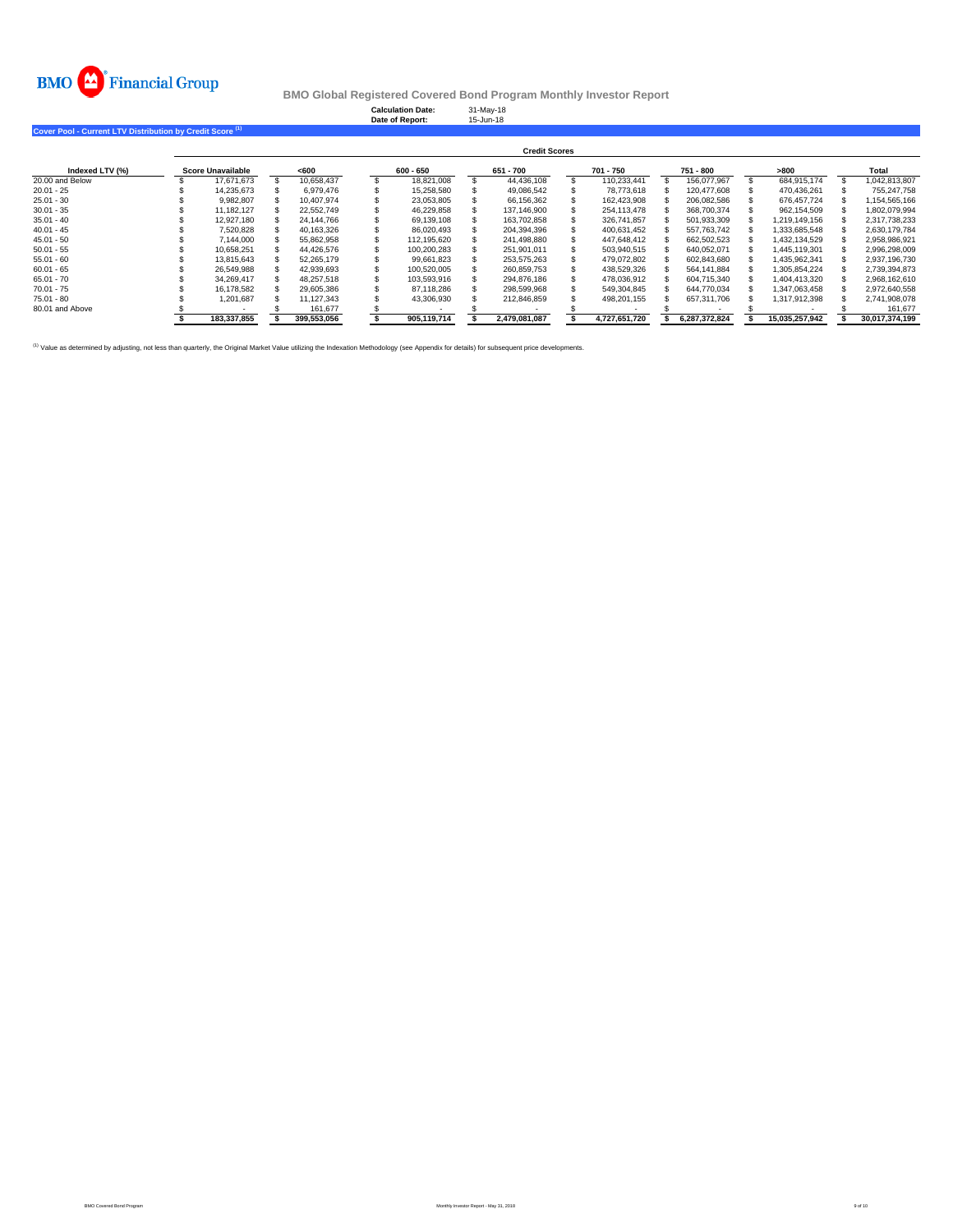

**Calculation Date:** 31-May-18 **Date of Report:** 15-Jun-18

**Cover Pool - Current LTV Distribution by Credit Score (1)**

|                 | <b>Credit Scores</b> |             |      |             |           |             |           |               |           |               |           |               |      |                |       |                |
|-----------------|----------------------|-------------|------|-------------|-----------|-------------|-----------|---------------|-----------|---------------|-----------|---------------|------|----------------|-------|----------------|
| Indexed LTV (%) | Score Unavailable    |             | <600 |             | 600 - 650 |             | 651 - 700 |               | 701 - 750 |               | 751 - 800 |               | >800 |                | Total |                |
| 20.00 and Below |                      | 17.671.673  |      | 10.658.437  |           | 18.821.008  |           | 44.436.108    |           | 110.233.441   |           | 156.077.967   |      | 684.915.174    |       | 1.042.813.807  |
| $20.01 - 25$    |                      | 14.235.673  |      | 6.979.476   |           | 15.258.580  |           | 49.086.542    |           | 78.773.618    |           | 120.477.608   |      | 470.436.261    |       | 755.247.758    |
| $25.01 - 30$    |                      | 9.982.807   |      | 10.407.974  |           | 23.053.805  |           | 66.156.362    |           | 162.423.908   |           | 206.082.586   |      | 676.457.724    |       | 1.154.565.166  |
| $30.01 - 35$    |                      | 11.182.127  |      | 22.552.749  |           | 46.229.858  |           | 137.146.900   |           | 254.113.478   |           | 368.700.374   |      | 962.154.509    |       | 1.802.079.994  |
| $35.01 - 40$    |                      | 12.927.180  |      | 24.144.766  |           | 69.139.108  |           | 163.702.858   |           | 326.741.857   |           | 501,933,309   |      | 1.219.149.156  |       | 2.317.738.233  |
| $40.01 - 45$    |                      | 7.520.828   |      | 40.163.326  |           | 86.020.493  |           | 204.394.396   |           | 400.631.452   |           | 557.763.742   |      | 1.333.685.548  |       | 2.630.179.784  |
| $45.01 - 50$    |                      | 7.144.000   |      | 55.862.958  |           | 112.195.620 |           | 241.498.880   |           | 447.648.412   |           | 662,502,523   |      | 1.432.134.529  |       | 2.958.986.921  |
| $50.01 - 55$    |                      | 10.658.251  |      | 44.426.576  |           | 100.200.283 |           | 251.901.011   |           | 503.940.515   |           | 640.052.071   |      | 1.445.119.301  |       | 2.996.298.009  |
| $55.01 - 60$    |                      | 13.815.643  |      | 52.265.179  |           | 99.661.823  |           | 253.575.263   |           | 479.072.802   |           | 602.843.680   |      | 1.435.962.341  |       | 2.937.196.730  |
| $60.01 - 65$    |                      | 26.549.988  |      | 42.939.693  |           | 100.520.005 |           | 260.859.753   |           | 438.529.326   |           | 564.141.884   |      | 1.305.854.224  |       | 2,739,394,873  |
| $65.01 - 70$    |                      | 34.269.417  |      | 48.257.518  |           | 103.593.916 |           | 294.876.186   |           | 478,036,912   |           | 604,715,340   |      | 1.404.413.320  |       | 2,968,162,610  |
| $70.01 - 75$    |                      | 16.178.582  |      | 29.605.386  |           | 87.118.286  |           | 298.599.968   |           | 549.304.845   |           | 644.770.034   |      | 1.347.063.458  |       | 2.972.640.558  |
| $75.01 - 80$    |                      | 1.201.687   |      | 11.127.343  |           | 43.306.930  |           | 212.846.859   |           | 498.201.155   |           | 657.311.706   |      | 1.317.912.398  |       | 2.741.908.078  |
| 80.01 and Above |                      |             |      | 161.677     |           |             |           |               |           |               |           |               |      |                |       | 161.677        |
|                 |                      | 183.337.855 |      | 399,553,056 |           | 905.119.714 |           | 2.479.081.087 |           | 4.727.651.720 |           | 6.287.372.824 |      | 15.035.257.942 |       | 30,017,374,199 |

<sup>(1)</sup> Value as determined by adjusting, not less than quarterly, the Original Market Value utilizing the Indexation Methodology (see Appendix for details) for subsequent price developments.